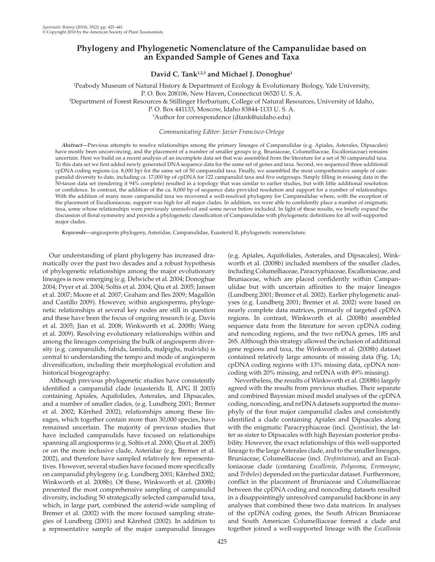# **Phylogeny and Phylogenetic Nomenclature of the Campanulidae based on an Expanded Sample of Genes and Taxa**

David C. Tank<sup>1,2,3</sup> and Michael J. Donoghue<sup>1</sup>

1 Peabody Museum of Natural History & Department of Ecology & Evolutionary Biology, Yale University, P. O. Box 208106, New Haven, Connecticut 06520 U. S. A. 2 Department of Forest Resources & Stillinger Herbarium, College of Natural Resources, University of Idaho, P. O. Box 441133, Moscow, Idaho 83844-1133 U. S. A. <sup>3</sup>Author for correspondence (dtank@uidaho.edu)

 *Communicating Editor: Javier Francisco-Ortega* 

 *Abstract—* Previous attempts to resolve relationships among the primary lineages of Campanulidae (e.g. Apiales, Asterales, Dipsacales) have mostly been unconvincing, and the placement of a number of smaller groups (e.g. Bruniaceae, Columelliaceae, Escalloniaceae) remains uncertain. Here we build on a recent analysis of an incomplete data set that was assembled from the literature for a set of 50 campanulid taxa. To this data set we first added newly generated DNA sequence data for the same set of genes and taxa. Second, we sequenced three additional cpDNA coding regions (ca. 8,000 bp) for the same set of 50 campanulid taxa. Finally, we assembled the most comprehensive sample of campanulid diversity to date, including ca. 17,000 bp of cpDNA for 122 campanulid taxa and five outgroups. Simply filling in missing data in the 50-taxon data set (rendering it 94% complete) resulted in a topology that was similar to earlier studies, but with little additional resolution or confidence. In contrast, the addition of the ca. 8,000 bp of sequence data provided resolution and support for a number of relationships. With the addition of many more campanulid taxa we recovered a well-resolved phylogeny for Campanulidae where, with the exception of the placement of Escalloniaceae, support was high for all major clades. In addition, we were able to confidently place a number of enigmatic taxa, some whose relationships were previously unresolved and some never before included. In light of these results, we briefly expand the discussion of floral symmetry and provide a phylogenetic classification of Campanulidae with phylogenetic definitions for all well-supported major clades.

 *Keywords—* angiosperm phylogeny , Asteridae , Campanulidae , Euasterid II , phylogenetic nomenclature.

 Our understanding of plant phylogeny has increased dramatically over the past two decades and a robust hypothesis of phylogenetic relationships among the major evolutionary lineages is now emerging (e.g. Delwiche et al. 2004; Donoghue 2004; Pryer et al. 2004; Soltis et al. 2004; Qiu et al. 2005; Jansen et al. 2007; Moore et al. 2007; Graham and Iles 2009; Magallón and Castillo 2009). However, within angiosperms, phylogenetic relationships at several key nodes are still in question and these have been the focus of ongoing research (e.g. Davis et al. 2005; Jian et al. 2008; Winkworth et al. 2008b; Wang et al. 2009). Resolving evolutionary relationships within and among the lineages comprising the bulk of angiosperm diversity (e.g. campanulids, fabids, lamiids, malpighs, malvids) is central to understanding the tempo and mode of angiosperm diversification, including their morphological evolution and historical biogeography.

 Although previous phylogenetic studies have consistently identified a campanulid clade (euasterids II, APG II 2003) containing Apiales, Aquifoliales, Asterales, and Dipsacales, and a number of smaller clades, (e.g. Lundberg 2001; Bremer et al. 2002; Kårehed 2002), relationships among these lineages, which together contain more than 30,000 species, have remained uncertain. The majority of previous studies that have included campanulids have focused on relationships spanning all angiosperms (e.g. Soltis et al. 2000; Qiu et al. 2005) or on the more inclusive clade, Asteridae (e.g. Bremer et al. 2002), and therefore have sampled relatively few representatives. However, several studies have focused more specifically on campanulid phylogeny (e.g. Lundberg 2001; Kårehed 2002; Winkworth et al. 2008b). Of these, Winkworth et al. (2008b) presented the most comprehensive sampling of campanulid diversity, including 50 strategically selected campanulid taxa, which, in large part, combined the asterid-wide sampling of Bremer et al. (2002) with the more focused sampling strategies of Lundberg (2001) and Kårehed (2002). In addition to a representative sample of the major campanulid lineages (e.g. Apiales, Aquifoliales, Asterales, and Dipsacales), Winkworth et al. (2008b) included members of the smaller clades, including Columelliaceae, Paracryphiaceae, Escalloniaceae, and Bruniaceae, which are placed confidently within Campanulidae but with uncertain affinities to the major lineages (Lundberg 2001; Bremer et al. 2002). Earlier phylogenetic analyses (e.g. Lundberg 2001; Bremer et al. 2002) were based on nearly complete data matrices, primarily of targeted cpDNA regions. In contrast, Winkworth et al. (2008b) assembled sequence data from the literature for seven cpDNA coding and noncoding regions, and the two nrDNA genes, 18S and 26S. Although this strategy allowed the inclusion of additional gene regions and taxa, the Winkworth et al. (2008b) dataset contained relatively large amounts of missing data (Fig. 1A; cpDNA coding regions with 13% missing data, cpDNA noncoding with 20% missing, and nrDNA with 49% missing).

 Nevertheless, the results of Winkworth et al. (2008b) largely agreed with the results from previous studies. Their separate and combined Bayesian mixed model analyses of the cpDNA coding, noncoding, and nrDNA datasets supported the monophyly of the four major campanulid clades and consistently identified a clade containing Apiales and Dipsacales along with the enigmatic Paracryphiaceae (incl. *Quintinia* ), the latter as sister to Dipsacales with high Bayesian posterior probability. However, the exact relationships of this well-supported lineage to the large Asterales clade, and to the smaller lineages, Bruniaceae, Columelliaceae (incl. *Desfontainia* ), and an Escalloniaceae clade (contaning *Escallonia* , *Polyosma* , *Eremosyne* , and *Tribeles* ) depended on the particular dataset. Furthermore, conflict in the placement of Bruniaceae and Columelliaceae between the cpDNA coding and noncoding datasets resulted in a disappointingly unresolved campanulid backbone in any analyses that combined these two data matrices. In analyses of the cpDNA coding genes, the South African Bruniaceae and South American Columelliaceae formed a clade and together joined a well-supported lineage with the *Escallonia*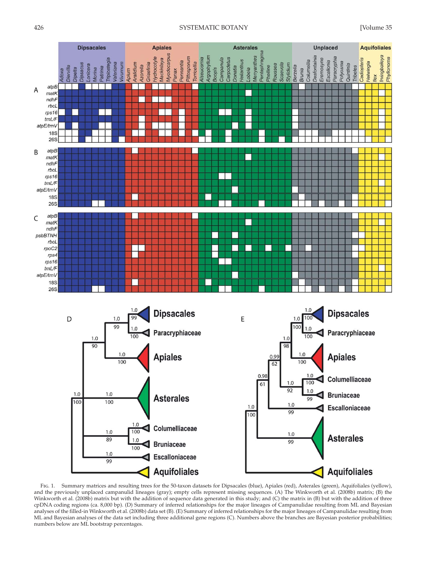



 Fig. 1. Summary matrices and resulting trees for the 50-taxon datasets for Dipsacales (blue), Apiales (red), Asterales (green), Aquifoliales (yellow), and the previously unplaced campanulid lineages (gray); empty cells represent missing sequences. (A) The Winkworth et al. (2008b) matrix; (B) the Winkworth et al. (2008b) matrix but with the addition of sequence data generated in this study; and (C) the matrix in (B) but with the addition of three cpDNA coding regions (ca. 8,000 bp). (D) Summary of inferred relationships for the major lineages of Campanulidae resulting from ML and Bayesian analyses of the filled-in Winkworth et al. (2008b) data set (B). (E) Summary of inferred relationships for the major lineages of Campanulidae resulting from ML and Bayesian analyses of the data set including three additional gene regions (C). Numbers above the branches are Bayesian posterior probabilities; numbers below are ML bootstrap percentages.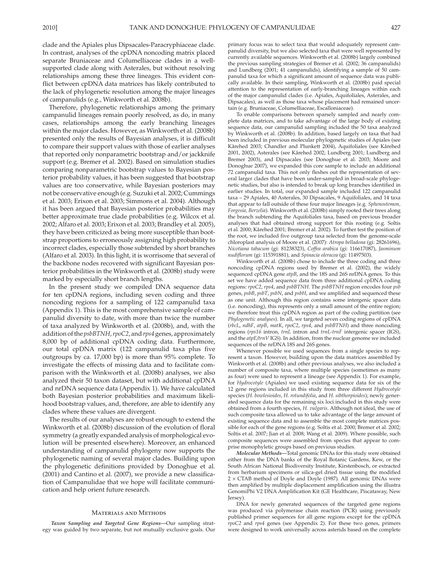clade and the Apiales plus Dipsacales-Paracryphiaceae clade. In contrast, analyses of the cpDNA noncoding matrix placed separate Bruniaceae and Columelliaceae clades in a wellsupported clade along with Asterales, but without resolving relationships among these three lineages. This evident conflict between cpDNA data matrices has likely contributed to the lack of phylogenetic resolution among the major lineages of campanulids (e.g., Winkworth et al. 2008b).

 Therefore, phylogenetic relationships among the primary campanulid lineages remain poorly resolved, as do, in many cases, relationships among the early branching lineages within the major clades. However, as Winkworth et al. (2008b) presented only the results of Bayesian analyses, it is difficult to compare their support values with those of earlier analyses that reported only nonparametric bootstrap and/or jackknife support (e.g. Bremer et al. 2002). Based on simulation studies comparing nonparametric bootstrap values to Bayesian posterior probability values, it has been suggested that bootstrap values are too conservative, while Bayesian posteriors may not be conservative enough (e.g. Suzuki et al. 2002; Cummings et al. 2003; Erixon et al. 2003; Simmons et al. 2004). Although it has been argued that Bayesian posterior probabilities may better approximate true clade probabilities (e.g. Wilcox et al. 2002; Alfaro et al. 2003; Erixon et al. 2003; Brandley et al. 2005), they have been criticized as being more susceptible than bootstrap proportions to erroneously assigning high probability to incorrect clades, especially those subtended by short branches (Alfaro et al. 2003). In this light, it is worrisome that several of the backbone nodes recovered with significant Bayesian posterior probabilities in the Winkworth et al. (2008b) study were marked by especially short branch lengths.

 In the present study we compiled DNA sequence data for ten cpDNA regions, including seven coding and three noncoding regions for a sampling of 122 campanulid taxa (Appendix 1). This is the most comprehensive sample of campanulid diversity to date, with more than twice the number of taxa analyzed by Winkworth et al. (2008b), and, with the addition of the *psbBTNH* , *rpoC2* , and *rps4* genes, approximately 8,000 bp of additional cpDNA coding data. Furthermore, our total cpDNA matrix (122 campanulid taxa plus five outgroups by ca. 17,000 bp) is more than 95% complete. To investigate the effects of missing data and to facilitate comparison with the Winkworth et al. (2008b) analyses, we also analyzed their 50 taxon dataset, but with additional cpDNA and nrDNA sequence data (Appendix 1). We have calculated both Bayesian posterior probabilities and maximum likelihood bootstrap values, and, therefore, are able to identify any clades where these values are divergent.

 The results of our analyses are robust enough to extend the Winkworth et al. (2008b) discussion of the evolution of floral symmetry (a greatly expanded analysis of morphological evolution will be presented elsewhere). Moreover, an enhanced understanding of campanulid phylogeny now supports the phylogenetic naming of several major clades. Building upon the phylogenetic definitions provided by Donoghue et al. (2001) and Cantino et al. (2007), we provide a new classification of Campanulidae that we hope will facilitate communication and help orient future research.

#### Materials and Methods

*Taxon Sampling and Targeted Gene Regions—* Our sampling strategy was guided by two separate, but not mutually exclusive goals. Our primary focus was to select taxa that would adequately represent campanulid diversity, but we also selected taxa that were well represented by currently available sequences. Winkworth et al. (2008b) largely combined the previous sampling strategies of Bremer et al. (2002; 36 campanulids) and Lundberg (2001; 41 campanulids), identifying a sample of 50 campanulid taxa for which a significant amount of sequence data was publically available. In their sampling, Winkworth et al. (2008b) paid special attention to the representation of early-branching lineages within each of the major campanulid clades (i.e. Apiales, Aquifoliales, Asterales, and Dipsacales), as well as those taxa whose placement had remained uncertain (e.g. Bruniaceae, Columelliaceae, Escalloniaceae).

 To enable comparisons between sparsely sampled and nearly complete data matrices, and to take advantage of the large body of existing sequence data, our campanulid sampling included the 50 taxa analyzed by Winkworth et al. (2008b) . In addition, based largely on taxa that had been included in previous molecular phylogenetic studies of Apiales (see Kårehed 2003; Chandler and Plunkett 2004), Aquifoliales (see Kårehed 2001, 2002), Asterales (see Kårehed 2002; Lundberg 2001; Lundberg and Bremer 2003), and Dipsacales (see Donoghue et al. 2003; Moore and Donoghue 2007), we expanded this core sample to include an additional 72 campanulid taxa. This not only fleshes out the representation of several larger clades that have been under-sampled in broad-scale phylogenetic studies, but also is intended to break up long branches identified in earlier studies. In total, our expanded sample included 122 campanulid taxa – 29 Apiales, 40 Asterales, 30 Dipsacales, 9 Aquifoliales, and 14 taxa that appear to fall outside of these four major lineages (e.g. *Sphenostemon, Forgesia, Berzelia* ). Winkworth et al. (2008b) simply rooted their trees along the branch subtending the Aquifoliales taxa, based on previous broader analyses that had obtained strong support for this rooting (e.g. Soltis et al. 2000; Kårehed 2001; Bremer et al. 2002). To further test the position of the root, we included five outgroup taxa selected from the genome-scale chloroplast analysis of Moore et al. (2007) : *Atropa belladona* (gi: 28261696), *Nicotiana tabacum* (gi: 81238323), *Coffea arabica* (gi: 116617087), *Jasminum nudiflorum* (gi: 115391881), and *Spinacia oleracea* (gi: 11497503).

 Winkworth et al. (2008b) chose to include the three coding and three noncoding cpDNA regions used by Bremer et al. (2002), the widely sequenced cpDNA gene *atpB* , and the 18S and 26S nrDNA genes. To this set we have added sequence data from three additional cpDNA coding regions: *rpoC2* , *rps4* , and *psbBTNH* . The *psbBTNH* region encodes four *psb* genes, *psbB* , *psbT* , *psbN* , and *psbH* , and we amplified and sequenced these as one unit. Although this region contains some intergenic spacer data (i.e. noncoding), this represents only a small amount of the entire region; we therefore treat this cpDNA region as part of the coding partition (see *Phylogenetic analyses* ). In all, we targeted seven coding regions of cpDNA (*rbcL* , *ndhF* , *atpB* , *matK* , *rpoC2* , *rps4* , and *psbBTNH* ) and three noncoding regions (rps16 intron, trnL intron and trnL-trnF intergenic spacer (IGS), and the *atpE/trnV* IGS). In addition, from the nuclear genome we included sequences of the nrDNA 18S and 26S genes.

 Whenever possible we used sequences from a single species to represent a taxon. However, building upon the data matrices assembled by Winkworth et al. (2008b) and other previous analyses, we also included a number of composite taxa, where multiple species (sometimes as many as four) were used to represent a lineage (see Appendix 1). For example, for *Hydrocotyle* (Apiales) we used existing sequence data for six of the 12 gene regions included in this study from three different *Hydrocotyle* species ( *H. bowlesioides* , *H. rotundifolia* , and *H. sibthorpioides* ); newly generated sequence data for the remaining six loci included in this study were obtained from a fourth species, *H. vulgaris* . Although not ideal, the use of such composite taxa allowed us to take advantage of the large amount of existing sequence data and to assemble the most complete matrices possible for each of the gene regions (e.g. Soltis et al. 2000; Bremer et al. 2002; Soltis et al. 2007; Jian et al. 2008; Wang et al. 2009). Where possible, such composite sequences were assembled from species that appear to comprise monophyletic groups based on previous studies.

*Molecular Methods—* Total genomic DNAs for this study were obtained either from the DNA banks of the Royal Botanic Gardens, Kew, or the South African National Biodiversity Institute, Kirstenbosch, or extracted from herbarium specimens or silica-gel dried tissue using the modified  $2 \times CTAB$  method of Doyle and Doyle (1987). All genomic DNAs were then amplified by multiple displacement amplification using the illustra GenomiPhi V2 DNA Amplification Kit (GE Healthcare, Piscataway, New Jersey).

 DNA for newly generated sequences of the targeted gene regions was produced via polymerase chain reaction (PCR) using previously published primer sequences for all gene regions except for the cpDNA *rpoC2* and *rps4* genes (see Appendix 2). For these two genes, primers were designed to work universally across asterids based on the complete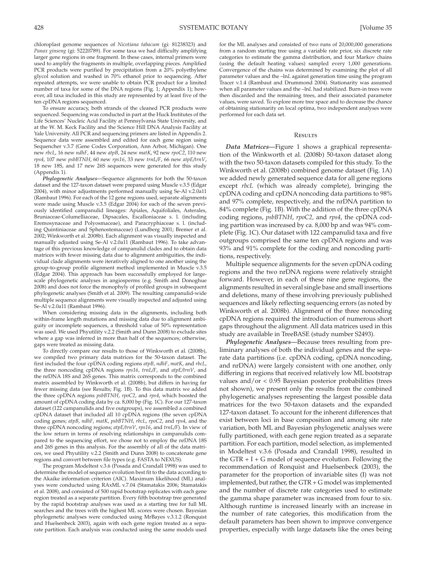chloroplast genome sequences of *Nicotiana tabacum* (gi: 81238323) and *Panax ginseng* (gi: 52220789). For some taxa we had difficulty amplifying larger gene regions in one fragment. In these cases, internal primers were used to amplify the fragments in multiple, overlapping pieces. Amplified PCR products were purified by precipitation from a 20% polyethylene glycol solution and washed in 70% ethanol prior to sequencing. After repeated attempts, we were unable to obtain PCR product for a limited number of taxa for some of the DNA regions (Fig. 1; Appendix 1); however, all taxa included in this study are represented by at least five of the ten cpDNA regions sequenced.

 To ensure accuracy, both strands of the cleaned PCR products were sequenced. Sequencing was conducted in part at the Huck Institutes of the Life Sciences' Nucleic Acid Facility at Pennsylvania State University, and at the W. M. Keck Facility and the Science Hill DNA Analysis Facility at Yale University. All PCR and sequencing primers are listed in Appendix 2. Sequence data were assembled and edited for each gene region using Sequencher v.3.7 (Gene Codes Corporation, Ann Arbor, Michigan). One new *rbcL* , 16 new *ndhF* , 44 new *atpB* , 24 new *matK* , 92 new *rpoC2* , 110 new *rps4* , 107 new *psbBTNH* , 60 new *rps16* , 33 new *trnL/F* , 66 new *atpE/trnV* , 18 new 18S, and 17 new 26S sequences were generated for this study (Appendix 1).

*Phylogenetic Analyses—* Sequence alignments for both the 50-taxon dataset and the 127-taxon dataset were prepared using Muscle v.3.5 (Edgar 2004), with minor adjustments performed manually using Se-Al v.2.0a11 (Rambaut 1996). For each of the 12 gene regions used, separate alignments were made using Muscle v.3.5 (Edgar 2004) for each of the seven previously identified campanulid lineages: Apiales, Aquifoliales, Asterales, Bruniaceae-Columelliaceae, Dipsacales, Escalloniaceae s. l. (including Eremosynaceae and Polyosmaceae), and Paracryphiaceae s. l. (including Quintiniaceae and Sphenostemaceae) (Lundberg 2001; Bremer et al. 2002; Winkworth et al. 2008b). Each alignment was visually inspected and manually adjusted using Se-Al v.2.0a11 (Rambaut 1996). To take advantage of this previous knowledge of campanulid clades and to obtain data matrices with fewer missing data due to alignment ambiguities, the individual clade alignments were iteratively aligned to one another using the group-to-group profile alignment method implemented in Muscle v.3.5 (Edgar 2004). This approach has been successfully employed for largescale phylogenetic analyses in angiosperms (e.g. Smith and Donoghue 2008) and does not force the monophyly of profiled groups in subsequent phylogenetic analyses (Smith et al. 2009). The resulting campanulid-wide multiple sequence alignments were visually inspected and adjusted using Se-Al v.2.0a11 (Rambaut 1996).

 When considering missing data in the alignments, including both within-frame length mutations and missing data due to alignment ambiguity or incomplete sequences, a threshold value of 50% representation was used. We used Phyutility v.2.2 (Smith and Dunn 2008) to exclude sites where a gap was inferred in more than half of the sequences; otherwise, gaps were treated as missing data.

To directly compare our results to those of Winkworth et al. (2008b), we compiled two primary data matrices for the 50-taxon dataset. The first included the four cpDNA coding regions *atpB* , *ndhF* , *matK* , and *rbcL* , the three noncoding cpDNA regions *rps16* , *trnL/F* , and *atpE/trnV* , and the nrDNA 18S and 26S genes. This matrix corresponds to the combined matrix assembled by Winkworth et al. (2008b), but differs in having far fewer missing data (see Results; Fig. 1B). To this data matrix we added the three cpDNA regions *psbBTNH* , *rpoC2* , and *rps4* , which boosted the amount of cpDNA coding data by ca. 8,000 bp (Fig. 1C). For our 127-taxon dataset (122 campanulids and five outgroups), we assembled a combined cpDNA dataset that included all 10 cpDNA regions (the seven cpDNA coding genes; *atpB* , *ndhF* , *matK* , *psbBTNH* , *rbcL* , *rpoC2* , and *rps4* , and the three cpDNA noncoding regions; *atpE/trnV* , *rps16* , and *trnL/F* ). In view of the low return in terms of resolving relationships in campanulids compared to the sequencing effort, we chose not to employ the nrDNA 18S and 26S genes in this analysis. For the assembly of all of the data matrices, we used Phyutility v.2.2 (Smith and Dunn 2008) to concatenate gene regions and convert between file types (e.g. FASTA to NEXUS).

The program Modeltest v.3.6 (Posada and Crandall 1998) was used to determine the model of sequence evolution best fit to the data according to the Akaike information criterion (AIC). Maximum likelihood (ML) analyses were conducted using RAxML v.7.04 (Stamatakis 2006; Stamatakis et al. 2008), and consisted of 500 rapid bootstrap replicates with each gene region treated as a separate partition. Every fifth bootstrap tree generated by the rapid bootstrap analyses was used as a starting tree for full ML searches and the trees with the highest ML scores were chosen. Bayesian phylogenetic analyses were conducted using MrBayes v.3.1.2 (Ronquist and Huelsenbeck 2003), again with each gene region treated as a separate partition. Each analysis was conducted using the same models used

for the ML analyses and consisted of two runs of 20,000,000 generations from a random starting tree using a variable rate prior, six discrete rate categories to estimate the gamma distribution, and four Markov chains (using the default heating values) sampled every 1,000 generations. Convergence of the chains was determined by examining the plot of all parameter values and the -lnL against generation time using the program Tracer v.1.4 (Rambaut and Drummond 2004). Stationarity was assumed when all parameter values and the -lnL had stabilized. Burn-in trees were then discarded and the remaining trees, and their associated parameter values, were saved. To explore more tree space and to decrease the chance of obtaining stationarity on local optima, two independent analyses were performed for each data set.

## **RESULTS**

 *Data Matrices—* Figure 1 shows a graphical representation of the Winkworth et al. (2008b) 50-taxon dataset along with the two 50-taxon datasets compiled for this study. To the Winkworth et al. (2008b) combined genome dataset (Fig. 1A) we added newly generated sequence data for all gene regions except *rbcL* (which was already complete), bringing the cpDNA coding and cpDNA noncoding data partitions to 98% and 97% complete, respectively, and the nrDNA partition to 84% complete (Fig. 1B). With the addition of the three cpDNA coding regions, *psbBTNH* , *rpoC2,* and *rps4* , the cpDNA coding partition was increased by ca. 8,000 bp and was 94% complete (Fig. 1C). Our dataset with 122 campanulid taxa and five outgroups comprised the same ten cpDNA regions and was 93% and 91% complete for the coding and noncoding partitions, respectively.

 Multiple sequence alignments for the seven cpDNA coding regions and the two nrDNA regions were relatively straight forward. However, in each of these nine gene regions, the alignments resulted in several single base and small insertions and deletions, many of these involving previously published sequences and likely reflecting sequencing errors (as noted by Winkworth et al. 2008b). Alignment of the three noncoding cpDNA regions required the introduction of numerous short gaps throughout the alignment. All data matrices used in this study are available in TreeBASE (study number S2493).

 *Phylogenetic Analyses—* Because trees resulting from preliminary analyses of both the individual genes and the separate data partitions (i.e. cpDNA coding, cpDNA noncoding, and nrDNA) were largely consistent with one another, only differing in regions that received relatively low ML bootstrap values and/or < 0.95 Bayesian posterior probabilities (trees not shown), we present only the results from the combined phylogenetic analyses representing the largest possible data matrices for the two 50-taxon datasets and the expanded 127-taxon dataset. To account for the inherent differences that exist between loci in base composition and among site rate variation, both ML and Bayesian phylogenetic analyses were fully partitioned, with each gene region treated as a separate partition. For each partition, model selection, as implemented in Modeltest v.3.6 (Posada and Crandall 1998), resulted in the  $GTR + I + G$  model of sequence evolution. Following the recommendation of Ronquist and Huelsenbeck (2003), the parameter for the proportion of invariable sites (I) was not implemented, but rather, the GTR + G model was implemented and the number of discrete rate categories used to estimate the gamma shape parameter was increased from four to six. Although runtime is increased linearly with an increase in the number of rate categories, this modification from the default parameters has been shown to improve convergence properties, especially with large datasets like the ones being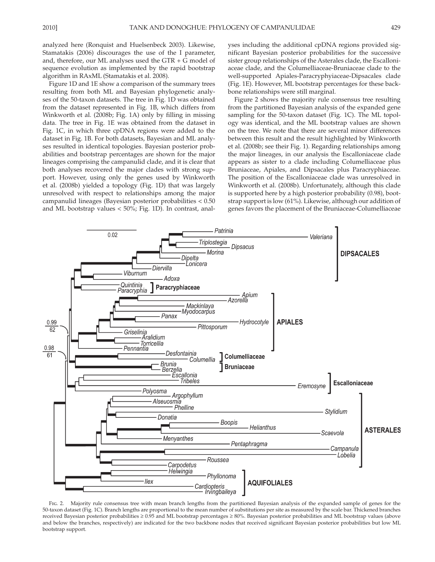analyzed here (Ronquist and Huelsenbeck 2003). Likewise, Stamatakis (2006) discourages the use of the I parameter, and, therefore, our ML analyses used the GTR + G model of sequence evolution as implemented by the rapid bootstrap algorithm in RAxML (Stamatakis et al. 2008).

 Figure 1D and 1E show a comparison of the summary trees resulting from both ML and Bayesian phylogenetic analyses of the 50-taxon datasets. The tree in Fig. 1D was obtained from the dataset represented in Fig. 1B, which differs from Winkworth et al. (2008b; Fig. 1A) only by filling in missing data. The tree in Fig. 1E was obtained from the dataset in Fig. 1C, in which three cpDNA regions were added to the dataset in Fig. 1B. For both datasets, Bayesian and ML analyses resulted in identical topologies. Bayesian posterior probabilities and bootstrap percentages are shown for the major lineages comprising the campanulid clade, and it is clear that both analyses recovered the major clades with strong support. However, using only the genes used by Winkworth et al. (2008b) yielded a topology (Fig. 1D) that was largely unresolved with respect to relationships among the major campanulid lineages (Bayesian posterior probabilities < 0.50 and ML bootstrap values  $<$  50%; Fig. 1D). In contrast, analyses including the additional cpDNA regions provided significant Bayesian posterior probabilities for the successive sister group relationships of the Asterales clade, the Escalloniaceae clade, and the Columelliaceae-Bruniaceae clade to the well-supported Apiales-Paracryphyiaceae-Dipsacales clade (Fig. 1E). However, ML bootstrap percentages for these backbone relationships were still marginal.

 Figure 2 shows the majority rule consensus tree resulting from the partitioned Bayesian analysis of the expanded gene sampling for the 50-taxon dataset (Fig. 1C). The ML topology was identical, and the ML bootstrap values are shown on the tree. We note that there are several minor differences between this result and the result highlighted by Winkworth et al. (2008b; see their Fig. 1). Regarding relationships among the major lineages, in our analysis the Escalloniaceae clade appears as sister to a clade including Columelliaceae plus Bruniaceae, Apiales, and Dipsacales plus Paracryphiaceae. The position of the Escalloniaceae clade was unresolved in Winkworth et al. (2008b). Unfortunately, although this clade is supported here by a high posterior probability (0.98), bootstrap support is low (61%). Likewise, although our addition of genes favors the placement of the Bruniaceae-Columelliaceae



FIG. 2. Majority rule consensus tree with mean branch lengths from the partitioned Bayesian analysis of the expanded sample of genes for the 50-taxon dataset ( Fig. 1C ). Branch lengths are proportional to the mean number of substitutions per site as measured by the scale bar. Thickened branches received Bayesian posterior probabilities ≥ 0.95 and ML bootstrap percentages ≥ 80%. Bayesian posterior probabilities and ML bootstrap values (above and below the branches, respectively) are indicated for the two backbone nodes that received significant Bayesian posterior probabilities but low ML bootstrap support.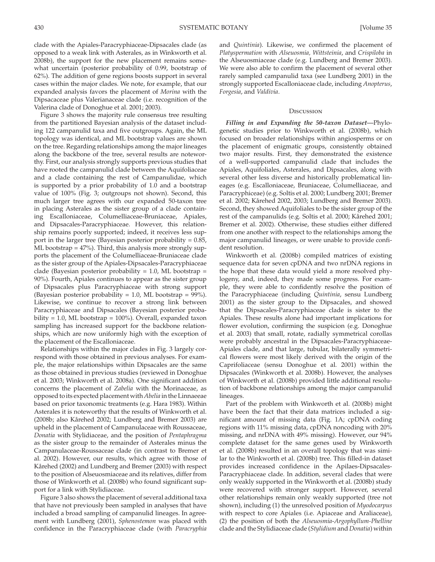clade with the Apiales-Paracryphiaceae-Dipsacales clade (as opposed to a weak link with Asterales, as in Winkworth et al. 2008b), the support for the new placement remains somewhat uncertain (posterior probability of 0.99, bootstrap of 62%). The addition of gene regions boosts support in several cases within the major clades. We note, for example, that our expanded analysis favors the placement of *Morina* with the Dipsacaceae plus Valerianaceae clade (i.e. recognition of the Valerina clade of Donoghue et al. 2001; 2003).

 Figure 3 shows the majority rule consensus tree resulting from the partitioned Bayesian analysis of the dataset including 122 campanulid taxa and five outgroups. Again, the ML topology was identical, and ML bootstrap values are shown on the tree. Regarding relationships among the major lineages along the backbone of the tree, several results are noteworthy. First, our analysis strongly supports previous studies that have rooted the campanulid clade between the Aquifoliaceae and a clade containing the rest of Campanulidae, which is supported by a prior probability of 1.0 and a bootstrap value of 100% (Fig. 3; outgroups not shown). Second, this much larger tree agrees with our expanded 50-taxon tree in placing Asterales as the sister group of a clade containing Escalloniaceae, Columelliaceae-Bruniaceae, Apiales, and Dipsacales-Paracryphiaceae. However, this relationship remains poorly supported; indeed, it receives less support in the larger tree (Bayesian posterior probability = 0.85, ML bootstrap = 47%). Third, this analysis more strongly supports the placement of the Columelliaceae-Bruniaceae clade as the sister group of the Apiales-Dipsacales-Paracryphiaceae clade (Bayesian posterior probability  $= 1.0$ , ML bootstrap  $=$ 90%). Fourth, Apiales continues to appear as the sister group of Dipsacales plus Paracryphiaceae with strong support (Bayesian posterior probability = 1.0, ML bootstrap =  $99\%$ ). Likewise, we continue to recover a strong link between Paracryphiaceae and Dipsacales (Bayesian posterior probability = 1.0, ML bootstrap = 100%). Overall, expanded taxon sampling has increased support for the backbone relationships, which are now uniformly high with the exception of the placement of the Escalloniaceae.

 Relationships within the major clades in Fig. 3 largely correspond with those obtained in previous analyses. For example, the major relationships within Dipsacales are the same as those obtained in previous studies (reviewed in Donoghue et al. 2003; Winkworth et al. 2008a). One significant addition concerns the placement of *Zabelia* with the Morinaceae, as opposed to its expected placement with *Abelia* in the Linnaeeae based on prior taxonomic treatments (e.g. Hara 1983). Within Asterales it is noteworthy that the results of Winkworth et al. (2008b; also Kårehed 2002; Lundberg and Bremer 2003) are upheld in the placement of Campanulaceae with Roussaceae, *Donatia* with Stylidiaceae, and the position of *Pentaphragma* as the sister group to the remainder of Asterales minus the Campanulaceae-Roussaceae clade (in contrast to Bremer et al. 2002). However, our results, which agree with those of Kårehed (2002) and Lundberg and Bremer (2003) with respect to the position of Alseuosmiaceae and its relatives, differ from those of Winkworth et al. (2008b) who found significant support for a link with Stylidiaceae.

 Figure 3 also shows the placement of several additional taxa that have not previously been sampled in analyses that have included a broad sampling of campanulid lineages. In agreement with Lundberg (2001), Sphenostemon was placed with confidence in the Paracryphiaceae clade (with *Paracryphia*

and *Quintinia*). Likewise, we confirmed the placement of *Platyspermation* with *Alseuosmia, Wittsteinia* , and *Crispiloba* in the Alseuosmiaceae clade (e.g. Lundberg and Bremer 2003). We were also able to confirm the placement of several other rarely sampled campanulid taxa (see Lundberg 2001) in the strongly supported Escalloniaceae clade, including *Anopterus* , *Forgesia* , and *Valdivia* .

### **Discussion**

*Filling in and Expanding the 50-taxon Dataset*—Phylogenetic studies prior to Winkworth et al. (2008b), which focused on broader relationships within angiosperms or on the placement of enigmatic groups, consistently obtained two major results. First, they demonstrated the existence of a well-supported campanulid clade that includes the Apiales, Aquifoliales, Asterales, and Dipsacales, along with several other less diverse and historically problematical lineages (e.g. Escalloniaceae, Bruniaceae, Columelliaceae, and Paracryphiceae) (e.g. Soltis et al. 2000; Lundberg 2001; Bremer et al. 2002; Kårehed 2002, 2003; Lundberg and Bremer 2003). Second, they showed Aquifoliales to be the sister group of the rest of the campanulids (e.g. Soltis et al. 2000; Kårehed 2001; Bremer et al. 2002). Otherwise, these studies either differed from one another with respect to the relationships among the major campanulid lineages, or were unable to provide confident resolution.

 Winkworth et al. (2008b) compiled matrices of existing sequence data for seven cpDNA and two nrDNA regions in the hope that these data would yield a more resolved phylogeny, and, indeed, they made some progress. For example, they were able to confidently resolve the position of the Paracryphiaceae (including *Quintinia*, sensu Lundberg 2001) as the sister group to the Dipsacales, and showed that the Dipsacales-Paracryphiaceae clade is sister to the Apiales. These results alone had important implications for flower evolution, confirming the suspicion (e.g. Donoghue et al. 2003) that small, rotate, radially symmetrical corollas were probably ancestral in the Dipsacales-Paracryphiaceae-Apiales clade, and that large, tubular, bilaterally symmetrical flowers were most likely derived with the origin of the Caprifoliaceae (sensu Donoghue et al. 2001) within the Dipsacales (Winkworth et al. 2008b). However, the analyses of Winkworth et al. (2008b) provided little additional resolution of backbone relationships among the major campanulid lineages.

 Part of the problem with Winkworth et al. (2008b) might have been the fact that their data matrices included a significant amount of missing data (Fig. 1A; cpDNA coding regions with 11% missing data, cpDNA noncoding with 20% missing, and nrDNA with 49% missing). However, our 94% complete dataset for the same genes used by Winkworth et al. (2008b) resulted in an overall topology that was similar to the Winkworth et al. (2008b) tree. This filled-in dataset provides increased confidence in the Apilaes-Dipsacales-Paracryphiaceae clade. In addition, several clades that were only weakly supported in the Winkworth et al. (2008b) study were recovered with stronger support. However, several other relationships remain only weakly supported (tree not shown), including (1) the unresolved position of *Myodocarpus* with respect to core Apiales (i.e. Apiaceae and Araliaceae), (2) the position of both the *Alseuosmia* - *Argophyllum-Phelline* clade and the Stylidiaceae clade ( *Stylidium* and *Donatia* ) within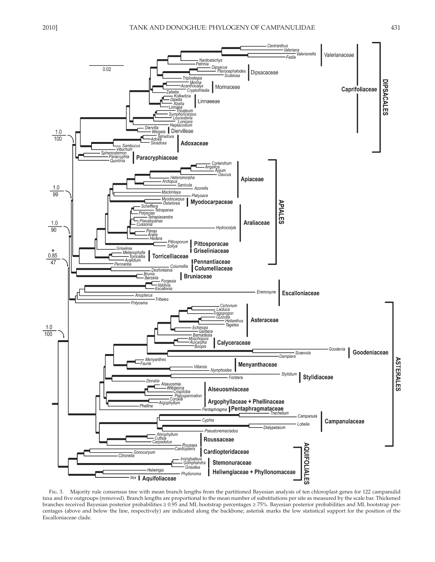

 Fig. 3. Majority rule consensus tree with mean branch lengths from the partitioned Bayesian analysis of ten chloroplast genes for 122 campanulid taxa and five outgroups (removed). Branch lengths are proportional to the mean number of substitutions per site as measured by the scale bar. Thickened branches received Bayesian posterior probabilities ≥ 0.95 and ML bootstrap percentages ≥ 75%. Bayesian posterior probabilities and ML bootstrap percentages (above and below the line, respectively) are indicated along the backbone; asterisk marks the low statistical support for the position of the Escalloniaceae clade.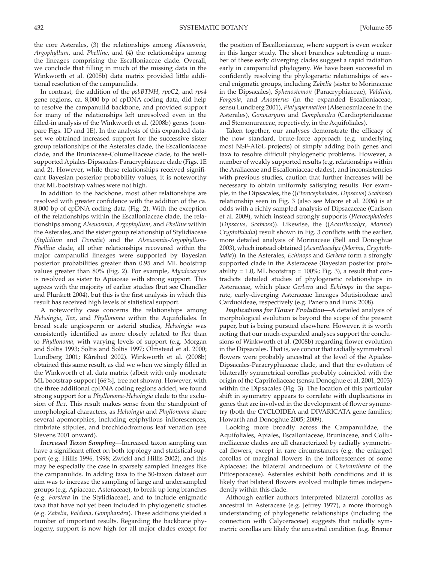the core Asterales, (3) the relationships among *Alseuosmia* , *Argophyllum,* and *Phelline*, and (4) the relationships among the lineages comprising the Escalloniaceae clade. Overall, we conclude that filling in much of the missing data in the Winkworth et al. (2008b) data matrix provided little additional resolution of the campanulids.

 In contrast, the addition of the *psbBTNH* , *rpoC2* , and *rps4* gene regions, ca. 8,000 bp of cpDNA coding data, did help to resolve the campanulid backbone, and provided support for many of the relationships left unresolved even in the filled-in analysis of the Winkworth et al. (2008b) genes (compare Figs. 1D and 1E). In the analysis of this expanded dataset we obtained increased support for the successive sister group relationships of the Asterales clade, the Escalloniaceae clade, and the Bruniaceae-Columelliaceae clade, to the wellsupported Apiales-Dipsacales-Paracryphiaceae clade (Figs. 1E) and 2). However, while these relationships received significant Bayesian posterior probability values, it is noteworthy that ML bootstrap values were not high.

 In addition to the backbone, most other relationships are resolved with greater confidence with the addition of the ca. 8,000 bp of cpDNA coding data (Fig. 2). With the exception of the relationships within the Escalloniaceae clade, the relationships among *Alseuosmia* , *Argophyllum,* and *Phelline* within the Asterales, and the sister group relationship of Stylidiaceae (*Stylidium* and *Donatia* ) and the *Alseuosmia* - *Argophyllum-Phelline* clade, all other relationships recovered within the major campanulid lineages were supported by Bayesian posterior probabilities greater than 0.95 and ML bootstrap values greater than 80% (Fig. 2). For example, *Myodocarpus* is resolved as sister to Apiaceae with strong support. This agrees with the majority of earlier studies (but see Chandler and Plunkett 2004), but this is the first analysis in which this result has received high levels of statistical support.

 A noteworthy case concerns the relationships among *Helwingia* , *Ilex* , and *Phyllonoma* within the Aquifoliales. In broad scale angiosperm or asterid studies, *Helwingia* was consistently identified as more closely related to *Ilex* than to *Phyllonoma*, with varying levels of support (e.g. Morgan and Soltis 1993; Soltis and Soltis 1997; Olmstead et al. 2000; Lundberg 2001; Kårehed 2002). Winkworth et al. (2008b) obtained this same result, as did we when we simply filled in the Winkworth et al. data matrix (albeit with only moderate ML bootstrap support [66%], tree not shown). However, with the three additional cpDNA coding regions added, we found strong support for a *Phyllonoma-Helwingia* clade to the exclusion of *Ilex*. This result makes sense from the standpoint of morphological characters, as *Helwingia* and *Phyllonoma* share several apomorphies, including epiphyllous inflorescences, fimbriate stipules, and brochidodromous leaf venation (see Stevens 2001 onward).

 *Increased Taxon Sampling—* Increased taxon sampling can have a significant effect on both topology and statistical support (e.g. Hillis 1996, 1998; Zwickl and Hillis 2002), and this may be especially the case in sparsely sampled lineages like the campanulids. In adding taxa to the 50-taxon dataset our aim was to increase the sampling of large and undersampled groups (e.g. Apiaceae, Asteraceae), to break up long branches (e.g. *Forstera* in the Stylidiaceae), and to include enigmatic taxa that have not yet been included in phylogenetic studies (e.g. *Zabelia, Valdivia, Gomphandra* ). These additions yielded a number of important results. Regarding the backbone phylogeny, support is now high for all major clades except for

the position of Escalloniaceae, where support is even weaker in this larger study. The short branches subtending a number of these early diverging clades suggest a rapid radiation early in campanulid phylogeny. We have been successful in confidently resolving the phylogenetic relationships of several enigmatic groups, including *Zabelia* (sister to Morinaceae in the Dipsacales), *Sphenostemon* (Paracryphiaceae), *Valdivia* , *Forgesia* , and *Anopterus* (in the expanded Escalloniaceae, sensu Lundberg 2001 ), *Platyspermation* (Alseuosmiaceae in the Asterales), *Gonocaryum* and *Gomphandra* (Cardiopteridaceae and Stemonuraceae, repectively, in the Aquifoliales).

 Taken together, our analyses demonstrate the efficacy of the now standard, brute-force approach (e.g. underlying most NSF-AToL projects) of simply adding both genes and taxa to resolve difficult phylogenetic problems. However, a number of weakly supported results (e.g. relationships within the Araliaceae and Escalloniaceae clades), and inconsistencies with previous studies, caution that further increases will be necessary to obtain uniformly satisfying results. For example, in the Dipsacales, the (( *Pterocephalodes, Dipsacus* ) *Scabiosa* ) relationship seen in Fig. 3 (also see Moore et al. 2006) is at odds with a richly sampled analysis of Dipsacaceae (Carlson et al. 2009 ), which instead strongly supports ( *Pterocephalodes* (*Dipsacus* , *Scabiosa* )). Likewise, the (( *Acanthocalyx* , *Morina* ) *Cryptothladia* ) result shown in Fig. 3 conflicts with the earlier, more detailed analysis of Morinaceae (Bell and Donoghue 2003 ), which instead obtained ( *Acanthocalyx* ( *Morina* , *Cryptothladia* )). In the Asterales, *Echinops* and *Gerbera* form a strongly supported clade in the Asteraceae (Bayesian posterior probability = 1.0, ML bootstrap =  $100\%$ ; Fig. 3), a result that contradicts detailed studies of phylogenetic relationships in Asteraceae, which place *Gerbera* and *Echinops* in the separate, early-diverging Asteraceae lineages Mutisioideae and Carduoideae, respectively (e.g. Panero and Funk 2008).

*Implications for Flower Evolution—A detailed analysis of* morphological evolution is beyond the scope of the present paper, but is being pursued elsewhere. However, it is worth noting that our much-expanded analyses support the conclusions of Winkworth et al. (2008b) regarding flower evolution in the Dipsacales. That is, we concur that radially symmetrical flowers were probably ancestral at the level of the Apiales-Dipsacales-Paracryphiaceae clade, and that the evolution of bilaterally symmetrical corollas probably coincided with the origin of the Caprifoliaceae (sensu Donoghue et al. 2001, 2003) within the Dipsacales (Fig. 3). The location of this particular shift in symmetry appears to correlate with duplications in genes that are involved in the development of flower symmetry (both the CYCLOIDEA and DIVARICATA gene families; Howarth and Donoghue 2005; 2009).

 Looking more broadly across the Campanulidae, the Aquifoliales, Apiales, Escalloniaceae, Bruniaceae, and Collumelliaceae clades are all characterized by radially symmetrical flowers, except in rare circumstances (e.g. the enlarged corollas of marginal flowers in the inflorescences of some Apiaceae; the bilateral androecium of *Cheirantheira* of the Pittosporaceae). Asterales exhibit both conditions and it is likely that bilateral flowers evolved multiple times independently within this clade.

 Although earlier authors interpreted bilateral corollas as ancestral in Asteraceae (e.g. Jeffrey 1977), a more thorough understanding of phylogenetic relationships (including the connection with Calyceraceae) suggests that radially symmetric corollas are likely the ancestral condition (e.g. Bremer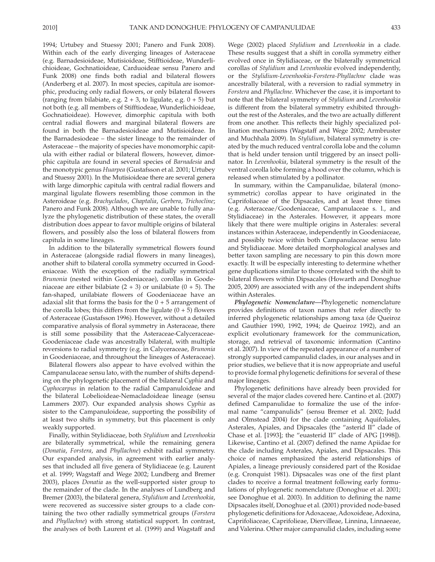1994; Urtubey and Stuessy 2001; Panero and Funk 2008). Within each of the early diverging lineages of Asteraceae (e.g. Barnadesioideae, Mutisioideae, Stifftioideae, Wunderlichioideae, Gochnatioideae, Carduoideae sensu Panero and Funk 2008) one finds both radial and bilateral flowers (Anderberg et al. 2007). In most species, capitula are isomorphic, producing only radial flowers, or only bilateral flowers (ranging from bilabiate, e.g.  $2 + 3$ , to ligulate, e.g.  $0 + 5$ ) but not both (e.g. all members of Stifftiodeae, Wunderlichioideae, Gochnatioideae). However, dimorphic capitula with both central radial flowers and marginal bilateral flowers are found in both the Barnadesioideae and Mutisioideae. In the Barnadesiodeae – the sister lineage to the remainder of Asteraceae – the majority of species have monomorphic capitula with either radial or bilateral flowers, however, dimorphic capitula are found in several species of *Barnadesia* and the monotypic genus *Huarpea* (Gustafsson et al. 2001; Urtubey and Stuessy 2001). In the Mutisioideae there are several genera with large dimorphic capitula with central radial flowers and marginal ligulate flowers resembling those common in the Asteroideae (e.g. *Brachyclados* , *Chaptalia* , *Gerbera* , *Trichocline* ; Panero and Funk 2008). Although we are unable to fully analyze the phylogenetic distribution of these states, the overall distribution does appear to favor multiple origins of bilateral flowers, and possibly also the loss of bilateral flowers from capitula in some lineages.

 In addition to the bilaterally symmetrical flowers found in Asteraceae (alongside radial flowers in many lineages), another shift to bilateral corolla symmetry occurred in Goodeniaceae. With the exception of the radially symmetrical *Brunonia* (nested within Goodeniaceae), corollas in Goodeniaceae are either bilabiate  $(2 + 3)$  or unilabiate  $(0 + 5)$ . The fan-shaped, unilabiate flowers of Goodeniaceae have an adaxial slit that forms the basis for the  $0 + 5$  arrangement of the corolla lobes; this differs from the ligulate  $(0 + 5)$  flowers of Asteraceae (Gustafsson 1996). However, without a detailed comparative analysis of floral symmetry in Asteraceae, there is still some possibility that the Asteraceae-Calyceraceae-Goodeniaceae clade was ancestrally bilateral, with multiple reversions to radial symmetry (e.g. in Calyceraceae, *Brunonia* in Goodeniaceae, and throughout the lineages of Asteraceae).

 Bilateral flowers also appear to have evolved within the Campanulaceae sensu lato, with the number of shifts depending on the phylogenetic placement of the bilateral *Cyphia* and *Cyphocarpus* in relation to the radial Campanuloideae and the bilateral Lobelioideae-Nemacladoideae lineage (sensu Lammers 2007). Our expanded analysis shows *Cyphia* as sister to the Campanuloideae, supporting the possibility of at least two shifts in symmetry, but this placement is only weakly supported.

 Finally, within Stylidiaceae, both *Stylidium* and *Levenhookia* are bilaterally symmetrical, while the remaining genera (*Donatia* , *Forstera* , and *Phyllachne* ) exhibit radial symmetry. Our expanded analysis, in agreement with earlier analyses that included all five genera of Stylidiaceae (e.g. Laurent et al. 1999; Wagstaff and Wege 2002; Lundberg and Bremer 2003 ), places *Donatia* as the well-supported sister group to the remainder of the clade. In the analyses of Lundberg and Bremer (2003), the bilateral genera, *Stylidium* and *Levenhookia*, were recovered as successive sister groups to a clade containing the two other radially symmetrical groups (*Forstera* and *Phyllachne*) with strong statistical support. In contrast, the analyses of both Laurent et al. (1999) and Wagstaff and

Wege (2002) placed *Stylidium* and *Levenhookia* in a clade. These results suggest that a shift in corolla symmetry either evolved once in Stylidiaceae, or the bilaterally symmetrical corollas of *Stylidium* and *Levenhookia* evolved independently, or the *Stylidium-Levenhookia-Forstera-Phyllachne* clade was ancestrally bilateral, with a reversion to radial symmetry in *Forstera* and *Phyllachne* . Whichever the case, it is important to note that the bilateral symmetry of *Stylidium* and *Levenhookia* is different from the bilateral symmetry exhibited throughout the rest of the Asterales, and the two are actually different from one another. This reflects their highly specialized pollination mechanisms (Wagstaff and Wege 2002; Armbruster and Muchhala 2009). In *Stylidium*, bilateral symmetry is created by the much reduced ventral corolla lobe and the column that is held under tension until triggered by an insect pollinator. In *Levenhookia* , bilateral symmetry is the result of the ventral corolla lobe forming a hood over the column, which is released when stimulated by a pollinator.

 In summary, within the Campanulidae, bilateral (monosymmetric) corollas appear to have originated in the Caprifoliaceae of the Dipsacales, and at least three times (e.g. Asteraceae/Goodeniaceae, Campanulaceae s. l., and Stylidiaceae) in the Asterales. However, it appears more likely that there were multiple origins in Asterales: several instances within Asteraceae, independently in Goodeniaceae, and possibly twice within both Campanulaceae sensu lato and Stylidiaceae. More detailed morphological analyses and better taxon sampling are necessary to pin this down more exactly. It will be especially interesting to determine whether gene duplications similar to those correlated with the shift to bilateral flowers within Dipsacales (Howarth and Donoghue 2005, 2009) are associated with any of the independent shifts within Asterales.

 *Phylogenetic Nomenclature—* Phylogenetic nomenclature provides definitions of taxon names that refer directly to inferred phylogenetic relationships among taxa (de Queiroz and Gauthier 1990, 1992, 1994; de Queiroz 1992), and an explicit evolutionary framework for the communication, storage, and retrieval of taxonomic information (Cantino et al. 2007 ). In view of the repeated appearance of a number of strongly supported campanulid clades, in our analyses and in prior studies, we believe that it is now appropriate and useful to provide formal phylogenetic definitions for several of these major lineages.

 Phylogenetic definitions have already been provided for several of the major clades covered here. Cantino et al. (2007) defined Campanulidae to formalize the use of the informal name "campanulids" (sensu Bremer et al. 2002; Judd and Olmstead 2004) for the clade containing Aquifoliales, Asterales, Apiales, and Dipsacales (the "asterid II" clade of Chase et al. [1993]; the "euasterid II" clade of APG [1998]). Likewise, Cantino et al. (2007) defined the name Apiidae for the clade including Asterales, Apiales, and Dipsacales. This choice of names emphasized the asterid relationships of Apiales, a lineage previously considered part of the Rosidae (e.g. Cronquist 1981). Dipsacales was one of the first plant clades to receive a formal treatment following early formulations of phylogenetic nomenclature (Donoghue et al. 2001; see Donoghue et al. 2003). In addition to defining the name Dipsacales itself, Donoghue et al. (2001) provided node-based phylogenetic definitions for Adoxaceae, Adoxoideae, Adoxina, Caprifoliaceae, Caprifolieae, Diervilleae, Linnina, Linnaeeae, and Valerina. Other major campanulid clades, including some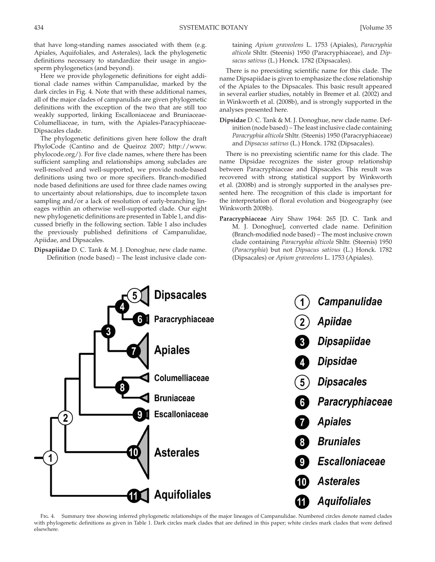that have long-standing names associated with them (e.g. Apiales, Aquifoliales, and Asterales), lack the phylogenetic definitions necessary to standardize their usage in angiosperm phylogenetics (and beyond).

 Here we provide phylogenetic definitions for eight additional clade names within Campanulidae, marked by the dark circles in Fig. 4 . Note that with these additional names, all of the major clades of campanulids are given phylogenetic definitions with the exception of the two that are still too weakly supported, linking Escalloniaceae and Bruniaceae-Columelliaceae, in turn, with the Apiales-Paracyphiaceae-Dipsacales clade.

 The phylogenetic definitions given here follow the draft PhyloCode (Cantino and de Queiroz 2007; http://www. phylocode.org/). For five clade names, where there has been sufficient sampling and relationships among subclades are well-resolved and well-supported, we provide node-based definitions using two or more specifiers. Branch-modified node based definitions are used for three clade names owing to uncertainty about relationships, due to incomplete taxon sampling and/or a lack of resolution of early-branching lineages within an otherwise well-supported clade. Our eight new phylogenetic definitions are presented in Table 1, and discussed briefly in the following section. Table 1 also includes the previously published definitions of Campanulidae, Apiidae, and Dipsacales.

**Dipsapiidae** D. C. Tank & M. J. Donoghue, new clade name. Definition (node based) – The least inclusive clade containing *Apium graveolens* L. 1753 (Apiales), *Paracryphia alticola* Shltr. (Steenis) 1950 (Paracryphiaceae), and *Dipsacus sativus* (L.) Honck. 1782 (Dipsacales).

 There is no preexisting scientific name for this clade. The name Dipsapiidae is given to emphasize the close relationship of the Apiales to the Dipsacales. This basic result appeared in several earlier studies, notably in Bremer et al. (2002) and in Winkworth et al. (2008b), and is strongly supported in the analyses presented here.

**Dipsidae** D. C. Tank & M. J. Donoghue, new clade name. Definition (node based) – The least inclusive clade containing *Paracryphia alticola* Shltr. (Steenis) 1950 (Paracryphiaceae) and *Dipsacus sativus* (L.) Honck. 1782 (Dipsacales).

 There is no preexisting scientific name for this clade. The name Dipsidae recognizes the sister group relationship between Paracryphiaceae and Dipsacales. This result was recovered with strong statistical support by Winkworth et al. (2008b) and is strongly supported in the analyses presented here. The recognition of this clade is important for the interpretation of floral evolution and biogeography (see Winkworth 2008b).

**Paracryphiaceae** Airy Shaw 1964: 265 [D. C. Tank and M. J. Donoghue], converted clade name. Definition (Branch-modified node based) – The most inclusive crown clade containing *Paracryphia alticola* Shltr. (Steenis) 1950 (*Paracryphia* ) but not *Dipsacus sativus* (L.) Honck. 1782 (Dipsacales) or *Apium graveolens* L. 1753 (Apiales).



 Fig. 4. Summary tree showing inferred phylogenetic relationships of the major lineages of Campanulidae. Numbered circles denote named clades with phylogenetic definitions as given in Table 1. Dark circles mark clades that are defined in this paper; white circles mark clades that were defined elsewhere.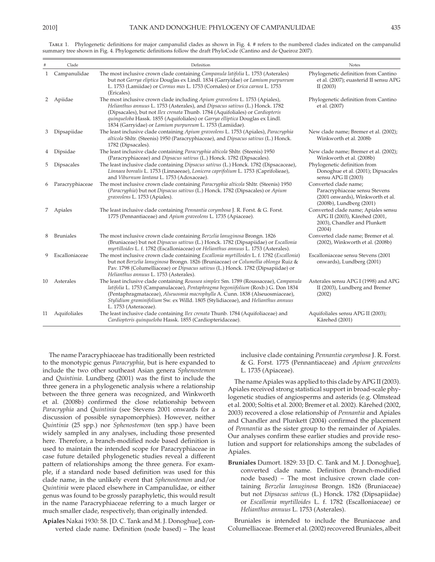|    | Clade            | Definition                                                                                                                                                                                                                                                                                                                                                                                | Notes                                                                                                                  |
|----|------------------|-------------------------------------------------------------------------------------------------------------------------------------------------------------------------------------------------------------------------------------------------------------------------------------------------------------------------------------------------------------------------------------------|------------------------------------------------------------------------------------------------------------------------|
|    | 1 Campanulidae   | The most inclusive crown clade containing Campanula latifolia L. 1753 (Asterales)<br>but not Garrya eliptica Douglas ex Lindl. 1834 (Garryidae) or Lamium purpureum<br>L. 1753 (Lamiidae) or Cornus mas L. 1753 (Cornales) or Erica carnea L. 1753<br>(Ericales).                                                                                                                         | Phylogenetic definition from Cantino<br>et al. (2007); euasterid II sensu APG<br>II(2003)                              |
| 2  | Apiidae          | The most inclusive crown clade including Apium graveolens L. 1753 (Apiales),<br>Helianthus annuus L. 1753 (Asterales), and Dipsacus sativus (L.) Honck. 1782<br>(Dipsacales), but not Ilex crenata Thunb. 1784 (Aquifoliales) or Cardiopteris<br>quinqueloba Hassk. 1855 (Aquifoliales) or Garrya elliptica Douglas ex Lindl.<br>1834 (Garryidae) or Lamium purpureum L. 1753 (Lamiidae). | Phylogenetic definition from Cantino<br>et al. (2007)                                                                  |
| 3  | Dipsapiidae      | The least inclusive clade containing Apium graveolens L. 1753 (Apiales), Paracryphia<br>alticola Shltr. (Steenis) 1950 (Paracryphiaceae), and Dipsacus sativus (L.) Honck.<br>1782 (Dipsacales).                                                                                                                                                                                          | New clade name; Bremer et al. (2002);<br>Winkworth et al. 2008b                                                        |
| 4  | Dipsidae         | The least inclusive clade containing Paracryphia alticola Shltr. (Steenis) 1950<br>(Paracryphiaceae) and Dipsacus sativus (L.) Honck. 1782 (Dipsacales).                                                                                                                                                                                                                                  | New clade name; Bremer et al. (2002);<br>Winkworth et al. (2008b)                                                      |
| 5. | Dipsacales       | The least inclusive clade containing Dipsacus sativus (L.) Honck. 1782 (Dipsacaceae),<br>Linnaea borealis L. 1753 (Linnaeeae), Lonicera caprifolium L. 1753 (Caprifolieae),<br>and Viburnum lantana L. 1753 (Adoxaceae).                                                                                                                                                                  | Phylogenetic definition from<br>Donoghue et al. (2001); Dipsacales<br>sensu APG II (2003)                              |
| 6  | Paracryphiaceae  | The most inclusive crown clade containing Paracryphia alticola Shltr. (Steenis) 1950<br>(Paracryphia) but not Dipsacus sativus (L.) Honck. 1782 (Dipsacales) or Apium<br>graveolens L. 1753 (Apiales).                                                                                                                                                                                    | Converted clade name;<br>Paracryphiaceae sensu Stevens<br>(2001 onwards), Winkworth et al.<br>(2008b), Lundberg (2001) |
|    | 7 Apiales        | The least inclusive clade containing <i>Pennantia corymbosa</i> J. R. Forst. & G. Forst.<br>1775 (Pennantiaceae) and Apium graveolens L. 1735 (Apiaceae).                                                                                                                                                                                                                                 | Converted clade name; Apiales sensu<br>APG II (2003), Kårehed (2001,<br>2003), Chandler and Plunkett<br>(2004)         |
| 8  | <b>Bruniales</b> | The most inclusive crown clade containing Berzelia lanuginosa Brongn. 1826<br>(Bruniaceae) but not Dipsacus sativus (L.) Honck. 1782 (Dipsapiidae) or Escallonia<br>myrtilloides L. f. 1782 (Escalloniaceae) or Helianthus annuus L. 1753 (Asterales).                                                                                                                                    | Converted clade name; Bremer et al.<br>(2002), Winkworth et al. (2008b)                                                |
| 9. | Escalloniaceae   | The most inclusive crown clade containing <i>Escallonia myrtilloides</i> L. f. 1782 ( <i>Escallonia</i> )<br>but not Berzelia lanuginosa Brongn. 1826 (Bruniaceae) or Columellia oblonga Ruiz &<br>Pav. 1798 (Columelliaceae) or Dipsacus sativus (L.) Honck. 1782 (Dipsapiidae) or<br>Helianthus annuus L. 1753 (Asterales).                                                             | Escalloniaceae sensu Stevens (2001<br>onwards), Lundberg (2001)                                                        |
| 10 | Asterales        | The least inclusive clade containing Roussea simplex Sm. 1789 (Roussaceae), Campanula<br>latifolia L. 1753 (Campanulaceae), Pentaphragma begoniifolium (Roxb.) G. Don 1834<br>(Pentaphragmataceae), Alseuosmia macrophylla A. Cunn. 1838 (Alseuosmiaceae),<br>Stylidium graminifolium Sw. ex Willd. 1805 (Stylidiaceae), and Helianthus annuus<br>L. 1753 (Asteraceae).                   | Asterales sensu APG I (1998) and APG<br>II (2003), Lundberg and Bremer<br>(2002)                                       |
| 11 | Aquifoliales     | The least inclusive clade containing Ilex crenata Thunb. 1784 (Aquifoliaceae) and<br>Cardiopteris quinqueloba Hassk. 1855 (Cardiopteridaceae).                                                                                                                                                                                                                                            | Aquifoliales sensu APG II (2003);<br>Kårehed (2001)                                                                    |

 Table 1. Phylogenetic definitions for major campanulid clades as shown in Fig. 4 . # refers to the numbered clades indicated on the campanulid um Fig. 4. Phylogenetic definitions follow the draft PhyloCode (Cantino and de Queiroz 2007).

 The name Paracryphiaceae has traditionally been restricted to the monotypic genus *Paracryphia* , but is here expanded to include the two other southeast Asian genera *Sphenostemon* and *Quintinia* . Lundberg (2001) was the first to include the three genera in a phylogenetic analysis where a relationship between the three genera was recognized, and Winkworth et al. (2008b) confirmed the close relationship between *Paracryphia* and *Quintinia* (see Stevens 2001 onwards for a discussion of possible synapomorphies). However, neither *Quintinia* (25 spp.) nor *Sphenostemon* (ten spp.) have been widely sampled in any analyses, including those presented here. Therefore, a branch-modified node based definition is used to maintain the intended scope for Paracryphiaceae in case future detailed phylogenetic studies reveal a different pattern of relationships among the three genera. For example, if a standard node based definition was used for this clade name, in the unlikely event that *Sphenostemon* and/or *Quintinia* were placed elsewhere in Campanulidae, or either genus was found to be grossly paraphyletic, this would result in the name Paracryphiaceae referring to a much larger or much smaller clade, respectively, than originally intended.

**Apiales** Nakai 1930: 58. [D. C. Tank and M. J. Donoghue], converted clade name. Definition (node based) – The least inclusive clade containing *Pennantia corymbosa* J. R. Forst. & G. Forst. 1775 (Pennantiaceae) and *Apium graveolens* L. 1735 (Apiaceae).

 The name Apiales was applied to this clade by APG II (2003) . Apiales received strong statistical support in broad-scale phylogenetic studies of angiosperms and asterids (e.g. Olmstead et al. 2000; Soltis et al. 2000; Bremer et al. 2002). Kårehed (2002, 2003 ) recovered a close relationship of *Pennantia* and Apiales and Chandler and Plunkett (2004) confirmed the placement of *Pennantia* as the sister group to the remainder of Apiales. Our analyses confirm these earlier studies and provide resolution and support for relationships among the subclades of Apiales.

**Bruniales** Dumort. 1829: 33 [D. C. Tank and M. J. Donoghue], converted clade name. Definition (branch-modified node based) – The most inclusive crown clade containing *Berzelia lanuginosa* Brongn. 1826 (Bruniaceae) but not *Dipsacus sativus* (L.) Honck. 1782 (Dipsapiidae) or *Escallonia myrtilloides* L. f. 1782 (Escalloniaceae) or *Helianthus annuus* L. 1753 (Asterales).

 Bruniales is intended to include the Bruniaceae and Columelliaceae. Bremer et al. (2002) recovered Bruniales, albeit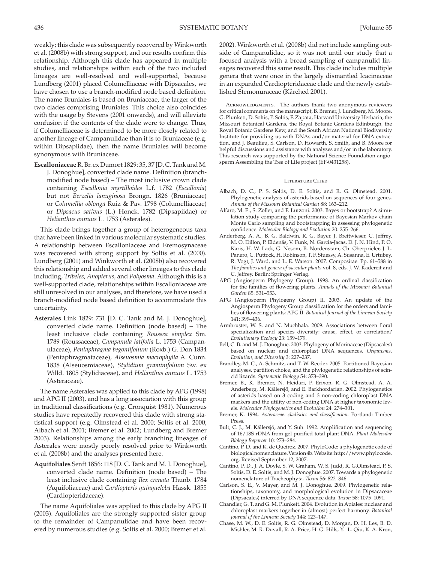weakly; this clade was subsequently recovered by Winkworth et al. (2008b) with strong support, and our results confirm this relationship. Although this clade has appeared in multiple studies, and relationships within each of the two included lineages are well-resolved and well-supported, because Lundberg (2001) placed Columelliaceae with Dipsacales, we have chosen to use a branch-modified node based definition. The name Bruniales is based on Bruniaceae, the larger of the two clades comprising Bruniales. This choice also coincides with the usage by Stevens (2001 onwards), and will alleviate confusion if the contents of the clade were to change. Thus, if Columelliaceae is determined to be more closely related to another lineage of Campanulidae than it is to Bruniaceae (e.g. within Dipsapiidae), then the name Bruniales will become synonymous with Bruniaceae.

**Escalloniaceae** R. Br. ex Dumort 1829: 35, 37 [D. C. Tank and M. J. Donoghue], converted clade name. Definition (branchmodified node based) – The most inclusive crown clade containing *Escallonia myrtilloides* L.f. 1782 ( *Escallonia* ) but not *Berzelia lanuginosa* Brongn. 1826 (Bruniaceae) or *Columellia oblonga* Ruiz & Pav. 1798 (Columelliaceae) or *Dipsacus sativus* (L.) Honck. 1782 (Dipsapiidae) or *Helianthus annuus* L. 1753 (Asterales).

 This clade brings together a group of heterogeneous taxa that have been linked in various molecular systematic studies. A relationship between Escalloniaceae and Eremosynaceae was recovered with strong support by Soltis et al. (2000). Lundberg (2001) and Winkworth et al. (2008b) also recovered this relationship and added several other lineages to this clade including, *Tribeles* , *Anopterus* , and *Polyosma* . Although this is a well-supported clade, relationships within Escalloniaceae are still unresolved in our analyses, and therefore, we have used a branch-modified node based definition to accommodate this uncertainty.

**Asterales** Link 1829: 731 [D. C. Tank and M. J. Donoghue], converted clade name. Definition (node based) – The least inclusive clade containing *Roussea simplex* Sm. 1789 (Roussaceae), *Campanula latifolia* L. 1753 (Campanulaceae), *Pentaphragma begoniifolium* (Roxb.) G. Don 1834 (Pentaphragmataceae), *Alseuosmia macrophylla* A. Cunn. 1838 (Alseuosmiaceae), *Stylidium graminifolium* Sw. ex Willd. 1805 (Stylidiaceae), and *Helianthus annuus* L. 1753 (Asteraceae).

 The name Asterales was applied to this clade by APG (1998) and APG II (2003), and has a long association with this group in traditional classifications (e.g. Cronquist 1981). Numerous studies have repeatedly recovered this clade with strong statistical support (e.g. Olmstead et al. 2000; Soltis et al. 2000; Albach et al. 2001; Bremer et al. 2002; Lundberg and Bremer 2003). Relationships among the early branching lineages of Asterales were mostly poorly resolved prior to Winkworth et al. (2008b) and the analyses presented here.

**Aquifoliales** Senft 1856: 118 [D. C. Tank and M. J. Donoghue], converted clade name. Definition (node based) – The least inclusive clade containing *Ilex crenata* Thunb. 1784 (Aquifoliaceae) and *Cardiopteris quinqueloba* Hassk. 1855 (Cardiopteridaceae).

 The name Aquifoliales was applied to this clade by APG II (2003). Aquifoliales are the strongly supported sister group to the remainder of Campanulidae and have been recovered by numerous studies (e.g. Soltis et al. 2000; Bremer et al.

ACKNOWLEDGMENTS. The authors thank two anonymous reviewers for critical comments on the manuscript, B. Bremer, J. Lundberg, M. Moore, G. Plunkett, D. Soltis, P. Soltis, F. Zapata, Harvard University Herbaria, the Missouri Botanical Gardens, the Royal Botanic Gardens Edinburgh, the Royal Botanic Gardens Kew, and the South African National Biodiversity Institute for providing us with DNAs and/or material for DNA extraction, and J. Beaulieu, S. Carlson, D. Howarth, S. Smith, and B. Moore for helpful discussions and assistance with analyses and/or in the laboratory. This research was supported by the National Science Foundation angiosperm Assembling the Tree of Life project (EF-0431258).

#### LITERATURE CITED

- Albach, D. C., P. S. Soltis, D. E. Soltis, and R. G. Olmstead. 2001. Phylogenetic analysis of asterids based on sequences of four genes. Annals of the Missouri Botanical Garden 88: 163-212.
- Alfaro, M. E., S. Zoller, and F. Lutzoni. 2003. Bayes or bootstrap? A simulation study comparing the performance of Bayesian Markov chain Monte Carlo sampling and bootstrapping in assessing phylogenetic confidence. *Molecular Biology and Evolution* 20: 255-266.
- Anderberg, A. A., B. G. Baldwin, R. G. Bayer, J. Breitwieser, C. Jeffrey, M. O. Dillon, P. Eldenäs, V. Funk, N. Garcia-Jacas, D. J. N. Hind, P. O. Karis, H. W. Lack, G. Nesom, B. Nordenstam, Ch. Oberprieler, J. L. Panero, C. Puttock, H. Robinson, T. F. Stuessy, A. Susanna, E. Urtubey, R. Vogt, J. Ward, and L. E. Watson. 2007. Compositae. Pp. 61-588 in *The families and genera of vascular plants* vol. 8 , eds. J. W. Kadereit and C. Jeffrey. Berlin: Springer Verlag.
- APG (Angiosperm Phylogeny Group). 1998. An ordinal classification for the families of flowering plants . *Annals of the Missouri Botanical*  Garden 85: 531-553.
- APG (Angiosperm Phylogeny Group) II. 2003. An update of the Angiosperm Phylogeny Group classification for the orders and families of flowering plants: APG II . *Botanical Journal of the Linnean Society* 141: 399-436.
- Armbruster, W. S. and N. Muchhala. 2009. Associations between floral specialization and species diversity: cause, effect, or correlation? Evolutionary Ecology 23: 159-179.
- Bell, C. B. and M. J. Donoghue. 2003. Phylogeny of Morinaceae (Dipsacales) based on nuclear and chloroplast DNA sequences . *Organisms,*  Evolution, and Diversity 3: 227-237.
- Brandley, M. C., A. Schmitz, and T. W. Reeder. 2005. Partitioned Bayesian analyses, partition choice, and the phylogenetic relationships of scincid lizards . *Systematic Biology* 54: 373 – 390 .
- Bremer, B., K. Bremer, N. Heidari, P. Erixon, R. G. Olmstead, A. A. Anderberg, M. Källersjö, and E. Barkhordarian. 2002. Phylogenetics of asterids based on 3 coding and 3 non-coding chloroplast DNA markers and the utility of non-coding DNA at higher taxonomic levels. Molecular Phylogenetics and Evolution 24: 274-301.
- Bremer, K. 1994. *Asteraceae: cladistics and classification*. Portland: Timber Press.
- Bult, C. J., M. Källersjö, and Y. Suh. 1992. Amplification and sequencing of 16/18S rDNA from gel-purified total plant DNA . *Plant Molecular Biology Reporter* 10: 273 – 284 .
- Cantino, P. D. and K. de Queiroz . 2007 . PhyloCode: a phylogenetic code of biological nomenclature. Version 4b . Website: http://www.phylocode. org. Revised September 12, 2007.
- Cantino, P. D., J. A. Doyle, S. W. Graham, W. S. Judd, R. G.Olmstead, P. S. Soltis, D. E. Soltis, and M. J. Donoghue. 2007. Towards a phylogenetic nomenclature of Tracheophyta. *Taxon* 56: 822-846.
- Carlson, S. E., V. Mayer, and M. J. Donoghue. 2009. Phylogenetic relationships, taxonomy, and morphological evolution in Dipsacaceae (Dipsacales) inferred by DNA sequence data. *Taxon* 58: 1075-1091.
- Chandler, G. T. and G. M. Plunkett. 2004. Evolution in Apiales: nuclear and chloroplast markers together in (almost) perfect harmony . *Botanical* Journal of the Linnean Society 144: 123-147.
- Chase, M. W., D. E. Soltis, R. G. Olmstead, D. Morgan, D. H. Les, B. D. Mishler, M. R. Duvall, R. A. Price, H. G. Hills, Y. -L. Qiu, K. A. Kron,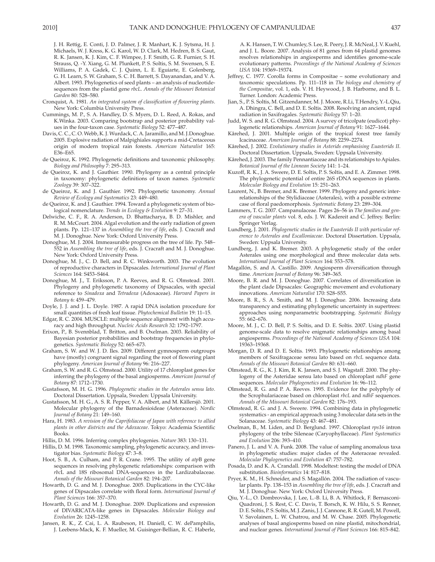J. H. Rettig, E. Conti, J. D. Palmer, J. R. Manhart, K. J. Sytsma, H. J. Michaels, W. J. Kress, K. G. Karol, W. D. Clark, M. Hedren, B. S. Gaut, R. K. Jansen, K. J. Kim, C. F. Wimpee, J. F. Smith, G. R. Furnier, S. H. Strauss, Q. -Y. Xiang, G. M. Plunkett, P. S. Soltis, S. M. Swensen, S. E. Williams, P. A. Gadek, C. J. Quinn, L. E. Eguiarte, E. Golenberg, G. H. Learn, S. W. Graham, S. C. H. Barrett, S. Dayanandan, and V. A. Albert. 1993. Phylogenetics of seed plants – an analysis of nucleotidesequences from the plastid gene *rbcL* . *Annals of the Missouri Botanical*  Garden 80: 528-580.

- Cronquist, A. 1981 . *An integrated system of classification of flowering plants* . New York: Columbia University Press.
- Cummings, M. P., S. A. Handley, D. S. Myers, D. L. Reed, A. Rokas, and K. Winka. 2003. Comparing bootstrap and posterior probability values in the four-taxon case. *Systematic Biology* 52: 477-487.
- Davis, C. C., C. O. Webb, K. J. Wurdack, C. A. Jaramillo, and M. J.Donoghue. 2005 . Explosive radiation of Malpighiales supports a mid-Cretaceous origin of modern tropical rain forests . *American Naturalist* 165: E36-E65.
- de Queiroz, K. 1992. Phylogenetic definitions and taxonomic philosophy. *Biology and Philosophy 7: 295-313.*
- de Queiroz, K. and J. Gauthier. 1990. Phylogeny as a central principle in taxonomy: phylogenetic definitions of taxon names . *Systematic Zoology* 39: 307 – 322 .
- de Queiroz, K. and J. Gauthier . 1992 . Phylogenetic taxonomy . *Annual* Review of Ecology and Systematics 23: 449-480.
- de Queiroz, K. and J. Gauthier. 1994. Toward a phylogenetic system of biological nomenclature. Trends in Ecology & Evolution 9: 27-31.
- Delwiche, C. F., R. A. Anderson, D. Bhattacharya, B. D. Mishler, and R. M. McCourt. 2004. Algal evolution and the early radiation of green plants. Pp. 121-137 in *Assembling the tree of life*, eds. J. Cracraft and M. J. Donoghue. New York: Oxford University Press.
- Donoghue, M. J. 2004. Immeasurable progress on the tree of life. Pp. 548- 552 in *Assembling the tree of life* , eds. J. Cracraft and M. J. Donoghue . New York: Oxford University Press.
- Donoghue, M. J., C. D. Bell, and R. C. Winkworth. 2003. The evolution of reproductive characters in Dipsacales . *International Journal of Plant Sciences* 164: S453 – S464 .
- Donoghue, M. J., T. Eriksson, P. A. Reeves, and R. G. Olmstead. 2001. Phylogeny and phylogenetic taxonomy of Dipsacales, with special reference to *Sinadoxa* and *Tetradoxa* (Adoxaceae) . *Harvard Papers in Botany* 6: 459 – 479 .
- Doyle, J. J. and J. L. Doyle. 1987. A rapid DNA isolation procedure for small quantities of fresh leaf tissue. *Phytochemical Bulletin* 19: 11-15.
- Edgar, R. C. 2004 . MUSCLE: multiple sequence alignment with high accuracy and high throughput. *Nucleic Acids Research* 32: 1792-1797
- Erixon, P., B. Svennblad, T. Britton, and B. Oxelman. 2003. Reliability of Bayesian posterior probabilities and bootstrap frequencies in phylogenetics. Systematic Biology 52: 665-673.
- Graham, S. W. and W. J. D. Iles. 2009. Different gymnosperm outgroups have (mostly) congruent signal regarding the root of flowering plant phylogeny. American Journal of Botany 96: 216-227.
- Graham, S. W. and R. G. Olmstead . 2000 . Utility of 17 chloroplast genes for inferring the phylogeny of the basal angiosperms . *American Journal of Botany* 87: 1712 – 1730 .
- Gustafsson, M. H. G. 1996 . *Phylogenetic studies in the Asterales sensu lato* . Doctoral Dissertation. Uppsala, Sweden: Uppsala University.
- Gustafsson, M. H. G., A. S. R. Pepper, V. A. Albert, and M. Källersjö. 2001. Molecular phylogeny of the Barnadesioideae (Asteraceae) . *Nordic Journal of Botany* 21: 149-160.
- Hara, H. 1983. *A revision of the Caprifoliaceae of Japan with reference to allied plants in other districts and the Adoxaceae*. Tokyo: Academia Scientific Books .
- Hillis, D. M. 1996. Inferring complex phylogenies. *Nature* 383: 130-131.
- Hillis, D. M. 1998. Taxonomic sampling, phylogenetic accuracy, and investigator bias. Systematic Biology 47: 3-8.
- Hoot, S. B., A. Culham, and P. R. Crane. 1995. The utility of *atp*B gene sequences in resolving phylogenetic relationships: comparison with *rbc*L and 18S ribosomal DNA-sequences in the Lardizabalaceae. Annals of the Missouri Botanical Garden 82: 194-207.
- Howarth, D. G. and M. J. Donoghue. 2005. Duplications in the CYC-like genes of Dipsacales correlate with floral form . *International Journal of*  Plant Sciences 166: 357-370.
- Howarth, D. G. and M. J. Donoghue. 2009. Duplications and expression of DIVARICATA-like genes in Dipsacales . *Molecular Biology and*  Evolution 26: 1245-1258.
- Jansen, R. K., Z. Cai, L. A. Raubeson, H. Daniell, C. W. dePamphilis, J. Leebens-Mack, K. F. Mueller, M. Guisinger-Bellian, R. C. Haberle,

A. K. Hansen, T. W. Chumley, S. Lee, R. Peery, J. R. McNeal, J. V. Kuehl, and J. L. Boore. 2007. Analysis of 81 genes from 64 plastid genomes resolves relationships in angiosperms and identifies genome-scale evolutionary patterns. Proceedings of the National Academy of Sciences *USA* 104: 19369-19374.

- Jeffrey, C. 1977. Corolla forms in Compositae some evolutionary and taxonomic speculations. Pp. 111-118 in *The biology and chemistry of* the Compositae, vol. 1, eds. V. H. Heywood, J. B. Harborne, and B. L. Turner. London: Academic Press.
- Jian, S., P. S. Soltis, M. Gitzendanner, M. J. Moore, R.Li, T.Hendry, Y.-L.Qiu, A. Dhingra, C. Bell, and D. E. Soltis. 2008. Resolving an ancient, rapid radiation in Saxifragales. Systematic Biology 57: 1-20.
- Judd, W. S. and R. G. Olmstead. 2004. A survey of tricolpate (eudicot) phylogenetic relationships. *American Journal of Botany* 91: 1627-1644
- Kårehed, J. 2001. Multiple origin of the tropical forest tree family Icacinaceae. American Journal of Botany 88: 2259-2274.
- Kårehed, J. 2002 . *Evolutionary studies in Asterids emphasising Euasterids II* . Doctoral Dissertation. Uppsala, Sweden: Uppsala University.
- Kårehed, J. 2003. The family Pennantiaceae and its relationships to Apiales. Botanical Journal of the Linnean Society 141: 1-24.
- Kuzoff, R. K., J. A. Sweere, D. E. Soltis, P. S. Soltis, and E. A. Zimmer. 1998. The phylogenetic potential of entire 26S rDNA sequences in plants. *Molecular Biology and Evolution* 15: 251 – 263 .
- Laurent, N., B. Bremer, and K. Bremer. 1999. Phylogeny and generic interrelationships of the Stylidiaceae (Asterales), with a possible extreme case of floral paedomorphosis. Systematic Botany 23: 289-304.
- Lammers, T. G. 2007 . Campanulaceae . Pages 26 56 in *The families and gen*era of vascular plants vol. 8, eds. J. W. Kadereit and C. Jeffrey. Berlin: Springer Verlag .
- Lundberg, J. 2001. Phylogenetic studies in the Euasterids II with particular ref*erence to Asterales and Escalloniaceae* . Doctoral Dissertation. Uppsala, Sweden: Uppsala University.
- Lundberg, J. and K. Bremer. 2003. A phylogenetic study of the order Asterales using one morphological and three molecular data sets. *International Journal of Plant Sciences* 164: 553 – 578 .
- Magallón, S. and A. Castillo. 2009. Angiosperm diversification through time. American Journal of Botany 96: 349-365.
- Moore, B. R. and M. J. Donoghue. 2007. Correlates of diversification in the plant clade Dipsacales: Geographic movement and evolutionary innovations. American Naturalist 170: S28-S55.
- Moore, B. R., S. A. Smith, and M. J. Donoghue. 2006. Increasing data transparency and estimating phylogenetic uncertainty in supertrees: approaches using nonparametric bootstrapping. Systematic Biology 55: 662-676.
- Moore, M. J., C. D. Bell, P. S. Soltis, and D. E. Soltis. 2007. Using plastid genome-scale data to resolve enigmatic relationships among basal angiosperms . *Proceedings of the National Academy of Sciences USA* 104: 19363-19368.
- Morgan, D. R. and D. E. Soltis. 1993. Phylogenetic relationships among members of Saxifragaceae sensu lato based on *rbcL* sequence data . Annals of the Missouri Botanical Garden 80: 631–660.
- Olmstead, R. G., K. J. Kim, R. K. Jansen, and S. J. Wagstaff. 2000. The phylogeny of the Asteridae sensu lato based on chloroplast *ndhF* gene sequences. Molecular Phylogenetics and Evolution 16: 96-112.
- Olmstead, R. G. and P. A. Reeves . 1995 . Evidence for the polyphyly of the Scrophulariaceae based on chloroplast *rbcL* and *ndhF* sequences . Annals of the Missouri Botanical Garden 82: 176-193.
- Olmstead, R. G. and J. A. Sweere . 1994 . Combining data in phylogenetic systematics - an empirical approach using 3 molecular data sets in the Solanaceae. Systematic Biology 43: 467-481.
- Oxelman, B., M. Liden, and D. Berglund. 1997. Chloroplast  $rps16$  intron phylogeny of the tribe Sileneae (Caryophyllaceae) . *Plant Systematics*  and Evolution 206: 393-410.
- Panero, J. L. and V. A. Funk. 2008. The value of sampling anomalous taxa in phylogenetic studies: major clades of the Asteraceae revealed. *Molecular Phylogenetics and Evolution* 47: 757 – 782 .
- Posada, D. and K. A. Crandall. 1998. Modeltest: testing the model of DNA substitution. *Bioinformatics* 14: 817-818.
- Pryer, K. M., H. Schneider, and S. Magallón. 2004. The radiation of vascular plants. Pp. 138-153 in *Assembling the tree of life*, eds. J. Cracraft and M. J. Donoghue. New York: Oxford University Press.
- Qiu, Y.-L., O. Dombrovska, J. Lee, L.-B. Li, B. A. Whitlock, F. Bernasconi-Quadroni, J. S. Rest, C. C. Davis, T. Borsch, K. W. Hilu, S. S. Renner, D. E. Soltis, P. S. Soltis, M. J. Zanis, J. J. Cannone, R. R. Gutell, M. Powell, V. Savolainen, L. W. Chatrou, and M. W. Chase. 2005. Phylogenetic analyses of basal angiosperms based on nine plastid, mitochondrial, and nuclear genes. International Journal of Plant Sciences 166: 815-842.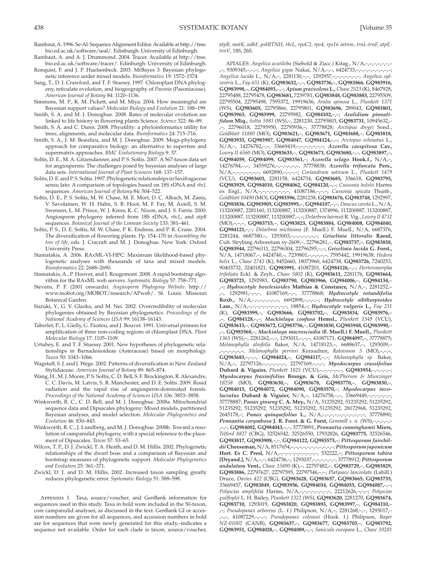- Rambaut, A. 1996 . Se-Al: Sequence Alignment Editor . Available at http://tree. bio.ed.ac.uk/software/seal/. Edinburgh: University of Edinburgh.
- Rambaut, A. and A. J. Drummond. 2004. Tracer. Available at http://tree. bio.ed.ac.uk/software/tracer/. Edinburgh: University of Edinburgh.
- Ronquist, F. and J. P. Huelsenbeck . 2003 . MrBayes 3: Bayesian phylogenetic inference under mixed models . *Bioinformatics* 19: 1572 – 1574 .
- Sang, T., D. J. Crawford, and T. F. Stuessy. 1997. Chloroplast DNA phylogeny, reticulate evolution, and biogeography of *Paeonia* (Paeoniaceae) . American Journal of Botany 84: 1120-1136.
- Simmons, M. P., K. M. Pickett, and M. Miya. 2004. How meaningful are Bayesian support values? *Molecular Biology and Evolution* 21: 188-199.
- Smith, S. A. and M. J. Donoghue. 2008. Rates of molecular evolution are linked to life history in flowering plants Science. *Science* 322: 86-89.
- Smith, S. A. and C. Dunn. 2008. Phyutility: a phyloinformatics utility for trees, alignments, and molecular data . *Bioinformatics* 24: 715 – 716 .
- Smith, S. A., J. M. Beaulieu, and M. J. Donoghue. 2009. Mega-phylogeny approach for comparative biology: an alternative to supertree and supermatrix approaches . *BMC Evolutionary Biology* 9: 37 .
- Soltis, D. E., M. A. Gitzendanner, and P. S. Soltis. 2007. A 567-taxon data set for angiosperms: The challenges posed by bayesian analyses of large data sets. International Journal of Plant Sciences 168: 137-157.
- Soltis, D. E. and P. S. Soltis . 1997 . Phylogenetic relationships in Saxifragaceae sensu lato: A comparison of topologies based on 18S rDNA and *rbcL* sequences. American Journal of Botany 84: 504-522.
- Soltis, D. E., P. S. Soltis, M. W. Chase, M. E. Mort, D. C. Albach, M. Zanis, V. Savolainen, W. H. Hahn, S. B. Hoot, M. F. Fay, M. Axtell, S. M. Swensen, L. M. Prince, W. J. Kress, K. C. Nixon, and J. S. Farris. 2000. Angiosperm phylogeny inferred from 18S rDNA, *rbcL*, and  $atpB$ sequences. *Botanical Journal of the Linnean Society* 133: 381-461.
- Soltis, P. S., D. E. Soltis, M. W. Chase, P. K. Endress, and P. R. Crane. 2004. The diversification of flowering plants. Pp. 154-170 in *Assembling the tree of life*, eds. J. Cracraft and M. J. Donoghue. New York: Oxford University Press .
- Stamatakis, A. 2006 . RAxML-VI-HPC: Maximum likelihood-based phylogenetic analyses with thousands of taxa and mixed models. *Bioinformatics* 22: 2688 – 2690 .
- Stamatakis, A., P. Hoover, and J. Rougemont. 2008. A rapid bootstrap algorithm for the RAxML web servers. Systematic Biology 57: 758-771.
- Stevens, P. F. ( 2001 onwards). *Angiosperm Phylogeny Website* . http:// www.mobot.org/MOBOT/research/APweb/. St. Louis: Missouri Botanical Garden.
- Suzuki, Y., G. V. Glazko, and M. Nei. 2002. Overcredibility of molecular phylogenies obtained by Bayesian phylogenetics . *Proceedings of the National Academy of Sciences USA 99: 16138-16143.*
- Taberlet, P., L. Gielly, G. Pautou, and J. Bouvet. 1991. Universal primers for amplification of three non-coding regions of chloroplast DNA . *Plant Molecular Biology* 17: 1105 – 1109 .
- Urtubey, E. and T. F. Stuessy . 2001 . New hypotheses of phylogenetic relationships in Barnadesioideae (Asteraceae) based on morphology . Taxon 50: 1043-1066.
- Wagstaff, S. J. and J. Wege . 2002 . Patterns of diversification in New Zealand Stylidiaceae. American Journal of Botany 89: 865-874.
- Wang, H., M. J. Moore, P. S. Soltis, C. D. Bell, S. F. Brockington, R. Alexandre, C. C. Davis, M. Latvis, S. R. Manchester, and D. E. Soltis. 2009. Rosid radiation and the rapid rise of angiosperm-dominated forests . Proceedings of the National Academy of Sciences USA 106: 3853-3858.
- Winkworth, R. C., C. D. Bell, and M. J. Donoghue. 2008a. Mitochondrial sequence data and Dipsacales phylogeny: Mixed models, partitioned Bayesian analyses, and model selection . *Molecular Phylogenetics and*  Evolution 46: 830-843.
- Winkworth, R. C., J. Lundberg, and M. J. Donoghue. 2008b. Toward a resolution of campanulid phylogeny, with a special reference to the placement of Dipsacales. *Taxon* 57: 53-65.
- Wilcox, T. P., D. J. Zwickl, T. A. Heath, and D. M. Hillis. 2002. Phylogenetic relationships of the dwarf boas and a comparison of Bayesian and bootstrap measures of phylogenetic support . *Molecular Phylogenetics*  and Evolution 25: 361-371.
- Zwickl, D. J. and D. M. Hillis. 2002. Increased taxon sampling greatly reduces phylogenetic error. Systematic Biology 51: 588-598.

APPENDIX 1. Taxa, source/voucher, and GenBank information for sequences used in this study. Taxa in bold were included in the 50-taxon, core campanulid analyses, as discussed in the text. GenBank GI or accession numbers are given for all sequences, and accession numbers in bold are for sequences that were newly generated for this study,–indicates a sequence not available. Order for each clade is taxon, source/voucher, *atpB, matK, ndhF, psbBTNH, rbcL, rpoC2, rps4, rps16 intron, trnL-trnF, atpEtrnV* , 18S, 26S.

 APIALES: *Angelica acutiloba* (Siebold & Zucc.) Kitag., N/A,–,–,–,–,–,–,– ,–, 9309345,–,–,–; *Angelica gigas* Nakai, N/A,–,–, 6424733,–,–,–,–,–,–,–,–,–; *Angelica lucida* L., N/A,–, 2281130,–,–, 1292957,–,–,–,–,–,–,–; *Angelica sylvestris* L., *Fay 651* (K), **GQ983632,** –,–, **GQ983736,** –, **GQ983866, GQ983916, GQ983998,** –, **GQ984093,** –,–; *Apium graveolens* **L.,** *Chase 2523* (K), 8467928, 22795488, 22795478, **GQ983681,** 7239781, **GQ983848, GQ983883,** 22795509, 22795504, 22795498, 7595372, 19919636; *Aralia spinosa* L., *Plunkett 1371* (WS), **GQ983605,** 22795866, 22795801, **GQ983696,** 289043, **GQ983801,** GQ983963, GQ983999, 22795982, GQ984102, -; Aralidium pinnati*fidum* **Miq.,** *Soltis 5981* (WS),–, 2281230, 22795803, **GQ983731,** 10945632,– ,–, 22796018, 22795950, 22795936,–, 37778828; *Arctopus dregei* Sond., *Goldblatt 11880* (MO), **GQ983621,** –, **GQ983671, GQ983688,** –, **GQ983818, GQ983933, GQ983987, GQ984047, GQ984124,** –,–; *Arctopus echinatus* L., N/A,–, 14276782,–,–, 33669419,–,–,–,–,–,–,–; *Azorella caespitosa* **Cav.,** *Lowry II 6560* (MO), **GQ983635,** –, **GQ983673, GQ983680,** –,–, **GQ983897,** –, **GQ984059, GQ984099, GQ983561,** –; *Azorella selago* **Hook.f.,** N/A,–, 14276784,–,–, 34559276,–,–,–,–,–,–, 37778838; *Azorella trifurcata* **Pers.,** N/A,–,–,–,–,–,–,–, 6692890,–,–,–,–; *Coriandrum sativum* L., *Plunkett 1479* (VCU), **GQ983603,** 2281158, 6424734, **GQ983685,** 336618, **GQ983795, GQ983929, GQ984010, GQ984062, GQ984120,** –,–; *Cussonia holstii* Harms ex Engl., N/A,–,–,–,–,–,–,–,–, 41087186,–,–,–; *Cussonia spicata* Thunb., *Goldblatt 10490* (MO), **GQ983596,** 2281238, **GQ983676, GQ983748,** 1292997, **GQ983836, GQ983905, GQ983995,** –, **GQ984107,** –,–; *Daucus carota* L., N/A, 113200887, 2281160, 113200887, 113200887, 1374996, 113200887, 113200887, 113200887, 113200887, 113200887,–,–; *Delarbrea harmsii* R. Vig., *Lowry II 4732* (MO),–,–,–, **GQ983715,** –, **GQ983823, GQ983884, GQ984008, GQ984040, GQ984121,** –,–; *Delarbrea michieana* (F. Muell.) F. Muell., N/A, 6687376, 2281244, 6687380,–, 1293003,–,–,–,–,–,–,–; *Griselinia littoralis* **Raoul,** Cult. Strybing Arboretum xy-2609,–, 22796281,–, **GQ983737,** –, **GQ983858, GQ983944,** 22796311, 22796304, 22796295,–,–; *Griselinia lucida* **G. Forst.,** N/A, 14718067,–, 6424740,–, 7239801,–,–,–,–,–, 7595442, 19919638; *Hedera helix* L., *Chase 2743* (K), 8452660, 18073960, 6424738, **GQ983726,** 7240253, 90403732, 32401821, **GQ983991,** 41087201, **GQ984126,** –,–; *Herteromorpha trifoliata* Eckl. & Zeyh., *Chase 5802* (K), **GQ983611,** 2281176, **GQ983664, GQ983721,** 1292983, **GQ983790, GQ983966, GQ984006,** –, **GQ984134,** – ,–; *Hydrocotyle bowlesioides* **Mathias & Constance,** N/A,–, 2281252,– ,–, 1292981,–,–,–, 41087169,–,–, 37778868; *Hydrocotyle rotundifolia* **Roxb.,** N/A,–,–,–,–,–,–,–, 6692898,–,–,–,–; *Hydrocotyle sibthorpioides* **Lam.,** N/A,–,–,–,–,–,–,–,–,–,–, 18854,–; *Hydrocotyle vulgaris* **L.,** *Fay 231* (K), **GQ983599,** –, **GQ983666, GQ983702,** –, **GQ983834, GQ983976,** – ,–, **GQ984128,** –,–; *Mackinlaya confusa* **Hemsl.,** *Plunkett 1549* (VCU), **GQ983615,** –, **GQ983672, GQ983756,** –, **GQ983850, GQ983948, GQ983990,** – ,–, **GQ983568,** –; *Mackinlaya macrosciadia* **(F. Muell.) F. Muell.,** *Plunkett 1365* (WS),–, 2281262,–,–, 1293011,–,–,–, 41087171, **GQ984097,** –, 37778875; *Melanophylla alnifolia* Baker, N/A, 14718123,–, 6688637,–, 1293009,– ,–,–,–,–,–,–; *Melanophylla perrieri* Keraudren, *Ratovoson 5* (MO),–,–,–, **GQ983683,** –,–,–, **GQ984024,** –, **GQ984117,** –,–; *Melanophylla sp.* Baker, N/A,–, 22797126,–,–,–,–,–,–, 22797169,–,–,–; *Myodocarpus crassifolius* **Dubard & Viguier,** *Plunkett 1825* (VCU),–,–,–,–,–,–, **GQ983954,** –,–,–,–,–; *Myodocarpus fraxinifolius* **Brongn. & Gris,** *McPherson & Munzinger 18258* (MO), **GQ983630,** –, **GQ983678, GQ983770,** –, **GQ983830,** –, GQ984015, GQ984072, GQ984090, GQ983570,-; Myodocarpus invo*lucratus* **Dubard & Viguier,** N/A,–, 14276758,–,–, 33669449,–,–,–,–,–,–, 37778887; *Panax ginseng* **C. A. Mey.,** N/A, 51235292, 51235292, 51235292, 51235292, 51235292, 51235292, 51235292, 51235292, 28172968, 51235292, 2645178,–; *Panax quinquefolius* **L.,** N/A,–,–,–,–,–,–,–,–,–,–,–, 37778890; *Pennantia corymbosa* **J. R. Forst. & G. Forst,** *Gemmill s. n.* (WS),–,–,–,–,– ,–,–, **GQ984002, GQ984043,** –,–, 37778891; *Pennantia cunninghamii* **Miers,** *Telford 8827* (CBG), 32526542, 32526550, 17932826, **GQ983775,** 32526546, **GQ983817, GQ983908,** –,–, **GQ984122, GQ983573,** –; *Pittosporum fairchildii* **Cheeseman,** N/A, 8517654,–,–,–,–,–,–,–,–,–,–,–; *Pittosporum japonicum* **Hort. Ex C. Presl,** N/A,–,–,–,–,–,–,–,–,–,–, 532222,–; *Pittosporum tobira* **[Dryand.],** N/A,–,–, 6424736,–, 1293037,–,–,–,–,–,–, 37778912; *Pittosporum undulatum* **Vent.,** *Chase 15890* (K),–, 22797482,–, **GQ983729,** –, **GQ983829, GQ983886,** 22797627, 22797595, 22797546,–,–; *Platysace lanceolata* (Labill.) Druce, *Davies 422* (CBG), **GQ983628, GQ983657, GQ983665, GQ983735,** 33669457, **GQ983849, GQ983956, GQ984034, GQ984055, GQ984087,** –,–; *Polyscias amplifolia* Harms, N/A,–,–,–,–,–,–,–,–, 22212626,–,–,–; *Polyscias guilfoylei* L. H. Bailey, *Plunkett 1322* (WS), **GQ983620,** 2281270, **GQ983674, GQ983710,** 1293019, **GQ983820, GQ983893, GQ983997,** –, **GQ984110,** –

,–; *Pseudopanax arboreus* (L. f.) Philipson, N/A,–, 2281268,–,–, 1293017,– ,–,–, 41087229,–,–,–; *Pseudopanax colensoi* (Hook. f.) Philipson, *Bayer NZ-01002* (CANB), **GQ983637,** –, **GQ983677, GQ983703,** –, **GQ983792, GQ983951, GQ984028,** –, **GQ984089,** –,–; *Sanicula europaea* L., *Chase 10281*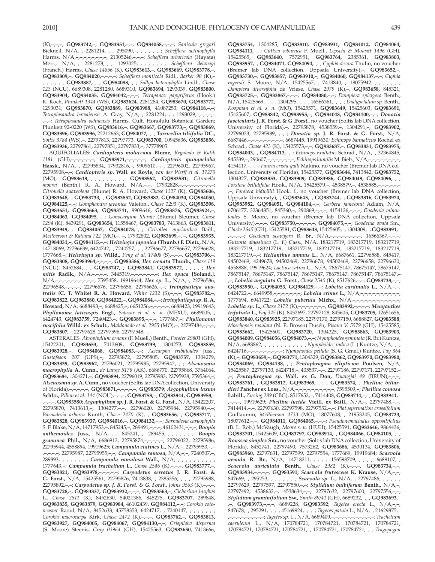(K),–,–,–, **GQ983742,** –, **GQ983851,** –,–, **GQ984058,** –,–,–; *Sanicula gregari* Bicknell, N/A,–, 2281214,–,–, 295090,–,–,–,–,–,–,–; *Schefflera actinophylla* Harms, N/A,–,–,–,–,–,–,–,–, 21305246,–,–,–; *Schefflera arboricola* (Hayata) Merr., N/A,–, 2281278,–,–, 1293025,–,–,–,–,–,–,–; *Schefflera delavayi* (Franch.) Harms, *Chase 14856* (K), **GQ983613,** –, **GQ983669, GQ983778,** –, **GQ983809,** –, **GQ984020,** –,–,–,–; *Schefflera monticola* Ridl., *Barker 90* (K),– ,–,–,–,–,–, **GQ983887,** –,–, **GQ984088,** –,–; *Sollya heterophylla* Lindl., *Chase 123* (NCU), 6689308, 2281280, 6689310, **GQ983694,** 1293039, **GQ983800, GQ983904, GQ984035, GQ984042,** –,–,–; *Tetrapanax papyriferus* (Hook.) K. Koch, *Plunkett 1344* (WS), **GQ983624,** 2281284, **GQ983670, GQ983772,** 1293031, **GQ983870, GQ983889, GQ983988,** 41087253, **GQ984118,** –,–; *Tetraplasandra hawaiensis* A. Gray, N/A,–, 2281224,–,–, 1293029,–,–,–,–,– ,–,–; *Tetraplasandra oahuensis* Harms, Cult. Honolulu Botanical Garden; Plunkett 92-0220 (WS), **GQ983616,** –, **GQ983667, GQ983773,** –, **GQ983869, GQ983896, GQ983996,** 22212663, **GQ984077,** –,–; *Torricellia tiliifolia* **DC.,** *Soltis 3784* (WS),–, 22797813, 22797773, **GQ983700,** 10945636, **GQ983856, GQ983936,** 22797861, 22797851, 22797833,–, 37778905

 AQUIFOLIALES: *Cardiopteris moluccana* **Blume,** *Regalado & Katik 1181* (GH),–,–,–,–,–,–, **GQ983971,** –,–,–,–,–; *Cardiopteris quinqueloba* **Hassk.,** N/A,–, 22795834, 17932816,–, 9909610,–,–, 22796002, 22795967, 22795908,–,–; *Cardiopteris sp.* **Wall. ex Royle,** *van der Werff et al. 17270* (MO), **GQ983618,** –,–,–,–,–,–,–,–,–, **GQ983562, GQ983581** ; *Citronella moorei* (Benth.) R. A. Howard, N/A,-,-, 17932828,-,-, *Citronella suaveolens* (Blume) R. A. Howard, *Chase 1327* (K), **GQ983606, GQ983648,** –, **GQ983733,** –, **GQ983852, GQ983882, GQ984030, GQ984050, GQ984125,** –,–; *Gomphandra javanica* Valeton., *Chase 1293* (K), **GQ983598, GQ983651, GQ983663, GQ983741,** 9909646, **GQ983876, GQ983924,** –, **GQ984063, GQ984095,** –,–; *Gonocaryum litorale* (Blume) Sleumer, *Chase 1294* (K), 8439291, **GQ983654,** 11558467, **GQ983783,** 7413863, **GQ983811, GQ983949,** –, **GQ984057, GQ984078,** –,–; *Grisollea myrianthea* Baill., *McPherson & Ratiana 722* (MO),–, **–,** 17932802, **GQ983699,** –, **–, GQ983935, GQ984031,–, GQ984115,** –,–; *Helwingia japonica* **(Thunb.) F. Dietr.,** N/A, 14718069, 22796639, 6424742,–, 7240257,–,–, 22796677, 22796657, 22796628, 1777668,–; *Helwingia sp.* **Willd.,** *Peng et al. 17408* (S),–,–,–, **GQ983706,** –, **GQ983808, GQ983964,** –,–,–,–, **GQ983586** ; *Ilex crenata* **Thunb.,** *Chase 119* (NCU), 8452684,–,–, **GQ983747,** –, **GQ983841, GQ983972,** –,–,–,–,–; *Ilex mitis* **Radlk.,** N/A,–,–,–,–, 3445319,–,–,–,–,–,–,–; *Ilex opaca* **[Soland.],** N/A,–,–,–,–,–,–,–,–,–,–, 7595458, 19919644; *Ilex sp.* **L.,** N/A,–, 22796586, 22796548,–,–,–,–, 22796676, 22796656, 22796626,–,–; *Irvingbaileya australis* **(C. T. White) R. A. Howard,** *White 1232* (S),–,–,–, **GQ983782,** –, **GQ983822, GQ983880, GQ984022,** –, **GQ984084,** –,–; *Irvingbaileya sp.* **R. A. Howard,** N/A, 6688493,–, 6688425,–, 6651256,–,–,–,–,–, 6688423, 19919643; *Phyllonoma laticuspis* **Engl.,** *Salazar et al. s. n.* (MEXU), 6689005,–, 6424743, **GQ983759,** 7240423,–, **GQ983895,** –,–,–, 1777687,–; *Phyllonoma ruscifolia* **Willd. ex Schult.,** *Maldonado et al. 2955* (MO),–, 22797484,–,–,–, **GQ983807,** –, 22797628, 22797596, 22797548,–,–

 ASTERALES: *Abrophyllum ornans* (F. Muell.) Benth., *Forster 29801* (GH), 15422201, **GQ983653,** 7413609, **GQ983739,** 1304273, **GQ983859, GQ983928,** –, **GQ984068, GQ984083,** –,–; *Acicarpha tribuloides* Juss., *Gustafsson 207* (UPS),–, 22795872, 22795805, **GQ983757,** 1304279, **GQ983839, GQ983962,** 22796021, 22795985, 22795942,–,–; *Alseuosmia macrophylla* **A. Cunn.,** *de Lange 5178* (AK), 6686770, 22795868, 3764064, **GQ983684,** 1304271,–, **GQ983894,** 22796019, 22795983, 22795938, 7595364,–; *Alseuosmia sp.* **A. Cunn.,** no voucher (Soltis lab DNA collection, University of Florida),–,–,–,–,–, **GQ983871,** –,–,–,–,–, **GQ983579** ; *Argophyllum laxum* **Schltr.,** *Pillon et al. 144* (NOU),–,–,–, **GQ983758,** –, **GQ983844, GQ983958,** – ,–,–,–, **GQ983580** ; *Argophyllum sp.* **J. R. Forst. & G. Forst.,** N/A, 15422207, 22795870, 7413613,–, 1304277,–,–, 22796020, 22795984, 22795940,–,–; *Barnadesia arborea* Kunth, *Chase 2470* (K),–, **GQ983656,** –, **GQ983717,** –, **GQ983828, GQ983937, GQ984016,** –, **GQ984132,** –,–; *Barnadesia caryophylla* S. F. Blake, N/A, 14717953,–, 845245,–, 289491,–,–,–, 46102431,–,–,–; *Boopis anthemoides* **Juss.,** N/A,–,–, 845241,–, 289455,–,–,–,–,–,–,–; *Boopis graminea* **Phil.,** N/A, 6686913, 22795874,–,–,–,–,–, 22796022, 22795986, 22795944, 4558894, 19919625; *Campanula elatines* **L.,** N/A,–, 22795953,–,– ,–,–,–,–, 22795987, 22795955,–,–; *Campanula ramosa,* N/A,–,–, 7240507,–, 289893,–,–,–,–,–,–,–; *Campanula ramulosa* **Wall.,** N/A,–,–,–,–,–,–,–,–,–,–, 1777643,–; *Campanula trachelium* **L.,** *Chase 2546* (K),–,–,–, **GQ983777,** –, **GQ983821, GQ983978,** –,–,–,–,–; *Carpodetus serratus* **J. R. Forst. & G. Forst.,** N/A, 15425561, 22795876, 7413838,–, 2385356,–,–,–, 22795988, 22795892,–,–; *Carpodetus sp. J. R. Forst. & G. Forst., Johns 9563* (K),–,–,–, **GQ983728,** –, **GQ983837, GQ983932,** –,–,–, **GQ983563,** –; *Cichorium intybus* L., *Chase 2511* (K), 8452630, 54021386, 845275, **GQ983707,** 289848, **GQ983835, GQ983879, GQ983984,** 46102439, **GQ984112,** –,–; *Corokia cotoneaster* Raoul, N/A, 8452633, 45758353, 6424717,–, 7240147,–,–,–,–,–,–,–; *Corokia macrocarpa* Kirk, *Chase 2472* (K),–,–,–, **GQ983762,** –, **GQ983813, GQ983927, GQ984005, GQ984067, GQ984130,** –,–; *Crispiloba disperma* (S. Moore) Steenis, *Gray 03964* (GH), 15425563, **GQ983650,** 7413666, **GQ983754,** 1304285, **GQ983810, GQ983931, GQ984012, GQ984064, GQ984111,** –,–; *Cuttsia viburnea* F. Muell., *Lepschi & Mowatt 1496* (GH), 15425565, **GQ983640,** 7572951, **GQ983764,** 2385361, **GQ983803, GQ983957,** –, **GQ984071, GQ984094,** –,–; *Cyphia decora* Thulin, no voucher (Bremer lab DNA collection, Uppsala University),–, **GQ983652,** –, **GQ983730,** –, **GQ983857, GQ983910,** –, **GQ984060, GQ984137,** –,–; *Cyphia rogersii* S. Moore, N/A, 15425567,–, 7413840,–, 18075942,–,–,–,–,–,–,–; *Dampiera diversifolia* de Vriese, *Chase 2979* (K),–, **GQ983658,** 845321, **GQ983725,** –, **GQ983867,** –,–,–, **GQ984080,** –,–; *Dampiera spicigera* Benth., N/A, 15425569,–,–,–, 1304295,–,–,–, 16566361,–,–,–; *Dialypetalum sp.* Benth., *Koopman et al. s. n.* (MO), 15425571, **GQ983649,** 15425603, **GQ983691,** 15425607, **GQ983842, GQ983955,** –, **GQ984048, GQ984100,** –,–; *Donatia fascicularis* **J. R. Forst. & G .Forst.,** no voucher (Soltis lab DNA collection, University of Florida),–, 22795878, 4538559,–, 1304291,–, **GQ983902,** 22796023, 22795989,–,–,–; *Donatia sp.* **J. R. Forst. & G. Forst.,** N/A, 6687446,–,–,–,–,–,–,–,–,–, 6687445, 19919630; *Echinops bannaticus* Rochel ex Schrad., *Chase 423* (K), 15425573,–,–, **GQ983687,** –, **GQ983831, GQ983975, GQ984003,** –, **GQ984113,** –,–; *Echinops exaltatus* Schrad., N/A,–, 32364845, 845339,–, 290607,–,–,–,–,–,–,–; *Echinops humilis* M. Bieb., N/A,–,–,–,–,–,–,–,–, 4154117,–,–,–; *Fauria crista-galli* Makino, no voucher (Bremer lab DNA collection, University of Florida), 15425577, **GQ983644,** 7413842, **GQ983752,** 1304327, **GQ983853, GQ983909, GQ983986, GQ984049, GQ984096,** –,–; *Forstera bellidifolia* Hook., N/A, 15425579,–, 4538579,–, 4538585,–,–,–,–,–,– ,–; *Forstera bidwillii* Hook. f., no voucher (Bremer lab DNA collection, Uppsala University),–, **GQ983645,** –, **GQ983744,** –, **GQ983816, GQ983974, GQ983982, GQ984051, GQ984104,** –,–; *Gerbera jamesonii* Adlam, N/A, 6706177, 32364851, 845360,–, 290869,–,–,–, 4154126,–,–,–; *Goodenia mimuloides* S. Moore, no voucher (Bremer lab DNA collection, Uppsala University),–,–,–, **GQ983750,** –,–,–,–,–, **GQ984075,** –,–; *Goodenia ovata* Sm., *Clarke 2645* (GH), 15425581, **GQ983643,** 15425605,–, 1304309,–, **GQ983891,** – ,–,–,–,–; *Goodenia scapigera* R. Br., N/A,–,–,–,–,–,–,–,–, 16566367,–,–,–; *Guizotia abyssinica* (L. f.) Cass., N/A, 183217719, 183217719, 183217719, 183217719, 183217719, 183217719, 183217719, 183217719, 183217719, 183217719,–,–; *Helianthus annuus* **L.,** N/A, 6687661, 22796588, 845417, 94502469, 4249678, 94502469, 22796678, 94502469, 22796658, 22796630, 4558888, 19919624; *Lactuca sativa* L., N/A, 78675147, 78675147, 78675147, 78675147, 78675147, 78675147, 78675147, 78675147, 78675147, 78675147,– ,–; *Lobelia angulata* **G. Forst.,** *Chase 2540* (K), 8517626,–,–, **GQ983738,** –,–, **GQ983950,** –, **GQ984053, GQ984129,** –,–; *Lobelia cardinalis* **L.,** N/A,–,–, 6424722,–, 6649958,–,–,–,–,–,–,–; *Lobelia erinus* **L.,** N/A,–,–,–,–,–,–,–,–,–,–, 1777694, 6941722; *Lobelia puberula* **Michx.,** N/A,–,–,–,–,–,–,–,–,–,–,–,–; *Lobelia sp.* **L.,** *Chase 2172* (K),–,–,–,–,–,–,–, **GQ983992,** –,–,–,–; *Menyanthes trifoliata* **L.,** *Fay 345* (K), 8452697, 22797128, 845605, **GQ983705,** 12651656, **GQ983840, GQ983925,** 22797185, 22797170, 22797150, 6688827, **GQ983588** ; *Moschopsis rosulata* (N. E. Brown) Dusén, *Pisano V. 5579* (GH), 15425585, **GQ983662,** 15425601, **GQ983720,** 1304325, **GQ983863, GQ983903, GQ984009, GQ984056, GQ984073,** –,–; *Nymphoides geminata* (R. Br.) Kuntze, N/A, 6688862,–,–,–,–,–,–,–,–,–,–,–; *Nymphoides indica* (L.) Kuntze, N/A,–,–, 6424716,–,–,–,–,–,–,–,–,–; *Nymphoides peltata* (S. G. Gmel.) Kuntze, *Fay 364* (K),–, **GQ983659,** –, **GQ983771,** 1304329, **GQ983862, GQ983970, GQ983980, GQ984069, GQ984138,** –,–; *Pentaphragma ellipticum* **Poulsen,** N/A, 15425587, 22797130, 6424718,–, 405537,–,–, 22797186, 22797171, 22797152,– ,–; *Pentaphragma sp.* **Wall. ex G. Don,** *Duangjai 49* (BRUN),–,–,–, **GQ983761,** –, **GQ983812, GQ983969,** –,–,–, **GQ983574,** –; *Phelline billardieri* **Pancher ex Loes.,** N/A,–,–,–,–,–,–,–,–,–,–, 7595509,–; *Phelline comosa* **Labill.,** *Ziesing 289* (CBG), 8517652,–, 7414408, **GQ983714,** –,–, **GQ983941,** – ,–,–,–, 19919629; *Phelline lucida* **Vieill. ex Baill.,** N/A,–, 22797488,–,–, 7414414,–,–, 22797630, 22797598, 22797552,–,–; *Platyspermation crassifolium* Guillaumin, *McPherson 4733* (MO), 18077608,–, 21953245, **GQ983723,** 18077612,–,–, **GQ984011, GQ984065,** –,–,–; *Pseudonemacladus oppositifolius* (B. L. Rob.) McVaugh, *Moore s. n.* (HUH), 15425591, **GQ983646,** 9864436, **GQ983701,** 15425609, **GQ983797, GQ983914,** –, **GQ984066, GQ984105,** –,–; *Roussea simplex* **Sm.,** no voucher (Soltis lab DNA collection, University of Florida), 8452741, 22797490, 7573262, **GQ983686,** 4530134, **GQ983806, GQ983960,** 22797631, 22797599, 22797554, 1777689, 19919684; *Scaevola aemula* **R. Br.,** N/A, 14718211,–,–,–,–, 156598709,–,–,–,–, 6689107,–; *Scaevola auriculata* **Benth.,** *Chase 2982* (K),–,–,–, **GQ983734,** –,–, **GQ983934,** –,–,–,–, **GQ983591** ; *Scaevola frutescens* **K. Krause,** N/A,–,–, 847669,–, 295253,–,–,–,–,–,–,–; *Scaevola sp.* **L.,** N/A,–, 22797486,–,–,–,–,–, 22797629, 22797597, 22797550,–,–; *Stylidium bulbiferum* **Benth.,** N/A,–, 22797492, 4538632,–, 4538634,–,–, 22797632, 22797600, 22797556,–,–; *Stylidium graminifolium* **Sw.,** *Smith 89/41* (GH), 6689232,–,–, **GQ983693,** – ,–, **GQ983973,** –,–,–, 6689228, **GQ983592** ; *Tagetes erecta* L., N/A,–,–, 847678,–, 295291,–,–,–, 45169924,–,–,–; *Tagetes patula* L., N/A,–, 21629875,– ,–,–,–,–,–,–,–,–,–; *Tagetes sp.* L., N/A, 6689409,–,–,–,–,–,–,–,–,–,–,–; *Trachelium caeruleum* L., N/A, 170784721, 170784721, 170784721, 170784721, 170784721, 170784721, 170784721,–, 170784721, 170784721,–,–; *Tragopogon*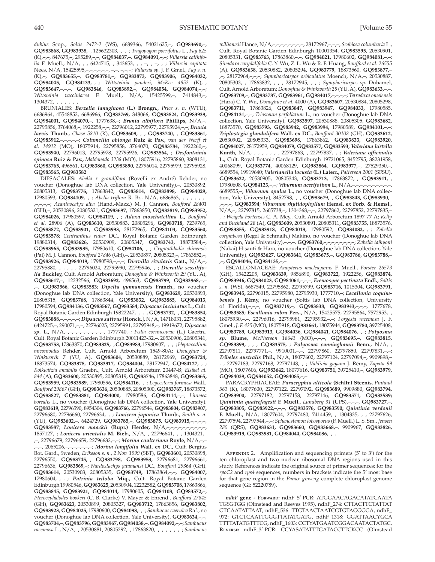*dubius* Scop., *Soltis 2472-2* (WS), 6689366, 54021625,–, **GQ983690,** –, **GQ983868, GQ983938,** –, 125632303,–,–,–; *Tragopogon porrifolius* L., *Fay 625* (K),–,–, 847675,–, 295289,–,–, **GQ984037,** –, **GQ984091,** –,–; *Villarsia calthifolia* F. Muell., N/A,–,–, 6424715,–, 343653,–,–, **–,** –, **–,** –,–; *Villarsia capitata* Nees, N/A, 15425595,–,–,–,–,–,–, **–,** –, **–,** –,–; *Villarsia sp.* J. F. Gmel., *Fay s. n.* (K),–, **GQ983655,** –, **GQ983781,** –, **GQ983873, GQ983906, GQ984032, GQ984045, GQ984133,** –,–; *Wittsteinia panderi, McKee 4852* (K),–, **GQ983647,** –,–,–, **GQ983846, GQ983892,** –, **GQ984054, GQ984074,** –,–; *Wittsteinia vacciniacea* F. Muell., N/A, 15425599,–, 7414843,–, 1304372,–,–,–,–,–,–,–

 BRUNIALES: *Berzelia lanuginosa* **(L.) Brongn.,** *Price s. n.* (WTU), 6686964, 45548852, 6686966, **GQ983769,** 348066, **GQ983824, GQ983939, GQ984001, GQ984070,** –, 1777638,–; *Brunia albiflora* **Phillips,** N/A,–, 22795856, 3764068,–, 1922258,–,–, 22796012, 22795977, 22795924,–,–; *Brunia laevis* **Thunb.,** *Chase 5810* (K), **GQ983608,** –,–, **GQ983740,** –, **GQ983861, GQ983912,** –,–,–,–,–; *Columellia oblonga* **Ruiz & Pav.,** *van der Werff et al. 14912* (MO), 18075914, 22795858, 3764070, **GQ983784,** 1922260,–, **GQ983940,** 22796013, 22795978, 22795926, **GQ983564,** –; *Desfontainia spinosa* **Ruiz & Pav.,** *Maldonado 3238* (MO), 18075916, 22795860, 3808131, **GQ983765,** 496561, **GQ983860, GQ983890,** 22796014, 22795979, 22795928, **GQ983565, GQ983582**

 DIPSACALES: *Abelia x grandiflora* (Rovelli ex André) Rehder, no voucher (Donoghue lab DNA collection, Yale University),–, 20530892, 20805313, **GQ983776,** 17863842, **GQ983814, GQ983898, GQ984029,** 17980593, **GQ984109,** –,–; *Abelia triflora* R. Br., N/A, 6686863,–,–,–,–,–,–,– ,–,–,–,–; *Acanthocalyx alba* (Hand.-Mazz.) M. J. Cannon, *Boufford 28401* (GH),–, 20530896, 20805321, **GQ983697,** 17863850, **GQ983819, GQ983952, GQ984026,** 17980597, **GQ984119,** –,–; *Adoxa moschatellina* **L.,** *Boufford et al.* 28906 (A), **GQ983610,** 20530883, 20805296, **GQ983718,** 7239765, **GQ983872, GQ983901, GQ983993,** 28172965, **GQ984103, GQ983560, GQ983578** ; *Centranthus ruber* DC., Royal Botanic Garden Edinburgh 19880314, **GQ983626,** 20530909, 20805347, **GQ983743,** 18873584,–, **GQ983965, GQ983985,** 17980610, **GQ984106,** –,–; *Cryptothladia chinensis* (Pai) M. J. Cannon, *Boufford 27846* (GH),–, 20530897, 20805323,–, 17863852,–, **GQ983926, GQ984019,** 17980598,–,–,–; *Diervilla rivularis* **Gatt.,** N/A,–, 22795880,–,–,–,–,–, 22796024, 22795990, 22795946,–,–; *Diervilla sessilifolia* **Buckley,** Cult. Arnold Arboretum; *Donoghue & Winkworth 29* (YU, A), **GQ983617,** –, 12232566, **GQ983692,** 496563, **GQ983799, GQ983968,** –,– ,–, **GQ983566, GQ983583** ; *Dipelta yunnanensis* **Franch.,** no voucher (Donoghue lab DNA collection, Yale University), **GQ983629,** 20530893, 20805315, **GQ983768,** 17863844, **GQ983832, GQ983885, GQ984013,** 17980594, **GQ984136, GQ983567, GQ983584** ; *Dipsacus laciniatus* **L.,** Cult. Royal Botanic Garden Edinburgh 19822247,–,–,–, **GQ983732,** –, **GQ983854, GQ983888,** –,–,–,–,–; *Dipsacus sativus* **[Honck.],** N/A, 14718031, 22795882, 6424725,–, 290071,–,–, 22796025, 22795991, 22795948,–, 19919672; *Dipsacus sp.* **L.,** N/A,–,–,–,–,–,–,–,–,–,–, 1777740,–; *Fedia cornucopiae* (L.) Gaertn., Cult. Royal Botanic Garden Edinburgh 20011423-32,–, 20530906, 20805341, **GQ983753,** 17863870, **GQ983825,** –, **GQ983983,** 17980607,–,–,–; *Heptacodium miconioides* Rehder, Cult. Arnold Arboretum 1549-80A; *Donoghue & Winkworth 7* (YU, A), **GQ983604,** 20530889, 28172969, **GQ983724,** 18873574, **GQ983878, GQ983917, GQ984004,** 28172947, **GQ984127,** –,–; *Kolkwitzia amabilis* Graebn., Cult. Arnold Arboretum 20447-B; *Elsiket al. 844* (A), **GQ983600,** 20530895, 20805319, **GQ983746,** 17863848, **GQ983865, GQ983959, GQ983989,** 17980596, **GQ984116,** –,–; *Leycesteria formosa* Wall., *Boufford 29867* (GH), **GQ983636,** 20530885, 20805300, **GQ983767,** 18873572, **GQ983827, GQ983881, GQ984000,** 17980586, **GQ984114,** –,–; *Linnaea borealis* L., no voucher (Donoghue lab DNA collection, Yale University), **GQ983619,** 22796590, 8954304, **GQ983766,** 22796544, **GQ983804, GQ983907,** 22796680, 22796660, 22796634,–,–; *Lonicera japonica* **Thunb.,** *Smith s. n.* (YU), **GQ983602,** –, 6424729, **GQ983785,** –, **GQ983875, GQ983915,** –,–,–,–, **GQ983587** ; *Lonicera maackii* **(Rupr.) Herder,** N/A,–,–,–,–,–,–,–,–,–,–, 1857127,–; *Lonicera orientalis* **M. Bieb.,** N/A,–, 22796641,–,–, 1304321,– ,–, 22796679, 22796659, 22796632,–,–; *Morina coulteriana* **Royle,** N/A,–,– ,–,–, 2065206,–,–,–,–,–,–,–; *Morina longifolia* **Wall. ex DC.,** Cult. Bergius Bot. Gard., Sweden; *Eriksson s. n., 2 Nov. 1999* (SBT), **GQ983601,** 20530898, 22796550, **GQ983745,** –, **GQ983798, GQ983953,** 22796681, 22796661, 22796636, **GQ983569,** –; *Nardostachys jatamansi* DC., *Boufford 29364* (GH), **GQ983614,** 20530903, 20805335, **GQ983749,** 17863864,–,–, **GQ984007,** 17980604,–,–,–; *Patrinia triloba* **Miq.,** Cult. Royal Botanic Garden Edinburgh 19980546, **GQ983625,** 20530904, 12232582, **GQ983708,** 17863866, **GQ983845, GQ983921, GQ984014,** 17980605, **GQ984108, GQ983572,** –; *Pterocephalodes hookeri* (C. B. Clarke) V. Mayer & Ehrend., *Boufford 27845* (GH), **GQ983623,** 20530899, 20805327, **GQ983712,** 17863856, **GQ983802, GQ983923, GQ984025,** 17980600, **GQ984098,** –,–; *Sambucus caerulea* Raf., no voucher (Donoghue lab DNA collection, Yale University), **GQ983634,** –,–, **GQ983704,** –, **GQ983796, GQ983967, GQ984038,** –, **GQ984092,** –,–; *Sambucus racemosa* L., N/A,–, 20530881, 20805292,–, 17863820,–,–,–,–,–,–,–; *Sambucus*

*williamsii* Hance, N/A,–,–,–,–,–,–,–,–, 28172967,–,–,–; *Scabiosa columbaria* L., Cult. Royal Botanic Garden Edinburgh 10001354, **GQ983595,** 20530901, 20805331, **GQ983763,** 17863860,–,–, **GQ984021,** 17980602, **GQ984081,** –,–; *Sinadoxa corydalifolia* C. Y. Wu, Z. L. Wu & R. F. Huang, *Boufford et al. 26555* (A), **GQ983638,** 20530882, 20805294, **GQ983779,** 18873560, **GQ983877,** – ,–, 28172964,–,–,–; *Symphoricarpos orbiculatus* Moench, N/A,–, 20530887, 20805303,–, 17863832,–,–,–, 28172945,–,–,–; *Symphoricarpos sp.* Duhamel, Cult. Arnold Arboretum; *Donoghue & Winkworth 28* (YU, A), **GQ983633,** –,–, **GQ983709,** –, **GQ983787, GQ983961, GQ984017,** –,–,–,–; *Tetradoxa omeiensis* (Hara) C. Y. Wu, *Donoghue et al.* 4000 (A), **GQ983607,** 20530884, 20805298, **GQ983711,** 17863826, **GQ983847, GQ983947, GQ984033,** 17980585, **GQ984131,** –,–; *Triosteum perfoliatum* L., no voucher (Donoghue lab DNA collection, Yale University), **GQ983597,** 20530888, 20805305, **GQ983682,** 18873570, **GQ983793, GQ983942, GQ983994,** 17980589, **GQ984101,** –,–; *Triplostegia glandulifera* **Wall. ex DC.,** *Boufford 30108* (GH), **GQ983612,** 20530902, 20805333, **GQ983698,** 17863862, **GQ983833, GQ983920, GQ984027,** 28172959, **GQ984079, GQ983577, GQ983593** ; *Valeriana hirtella* **Kunth,** N/A,–,–,–,–,–,–,–, 22797863,–, 22797837,–,–; *Valeriana officinalis* **L.,** Cult. Royal Botanic Garden Edinburgh 19721065, 8452795, 38231958, 40068099, **GQ983774,** 40068129, **GQ983864, GQ983977,** –, 27529350,–, 6689554, 19919640; *Valerianella locusta* **(L.) Laterr.,** *Patterson 2001* (SFSU), **GQ983622,** 20530905, 20805343, **GQ983713,** 17863872,–, **GQ983911,** –, 17980608, **GQ984123,** –,–; *Viburnum acerifolium* **L.,** N/A,–,–,–,–,–,–,–,–,–,–, 6689555,–; *Viburnum opulus* **L.,** no voucher (Donoghue lab DNA collection, Yale University), 8452798,–,–, **GQ983679,** –, **GQ983843, GQ983930,** – ,–,–,–, **GQ983594** ; *Viburnum rhytidophyllum* **Hemsl. ex Forb. & Hemsl.,** N/A,–, 22797815, 2605738,–, 1304368,–,–, 22797862, 22797852, 22797835,– ,–; *Weigela hortensis* C. A. Mey., Cult. Arnold Arboretum 1897-77-A; *Kelly and Buckland 28* (A), **GQ983609,** 20530891, 20805311, **GQ983755,** 18873576, **GQ983855, GQ983918, GQ984018,** 17980592, **GQ984082,** –,–; *Zabelia corymbosa* (Regel & Schmalh.) Makino, no voucher (Donoghue lab DNA collection, Yale University),–,–,–, **GQ983760,** –,–,–,–,–,–,–,–; *Zabelia taihyoni* (Nakai) Hisauti & Hara, no voucher (Donoghue lab DNA collection, Yale University), **GQ983627, GQ983641, GQ983675,** –, **GQ983786, GQ983788,** – ,–, **GQ984046, GQ984135,** –,–

 ESCALLONIACEAE: *Anopterus macleayanus* F. Muell., *Forster 26573* (GH), 15422205, **GQ983639,** 9856890, **GQ983722,** 1922256, **GQ983874, GQ983946, GQ984023, GQ984061,** –,–,–; *Eremosyne pectinata* **Endl.,** *Soltis s. n.* (WS), 6687549, 22795862, 22795799, **GQ983716,** 1015304, **GQ983791, GQ983945,** 22796015, 22795980, 22795930, 1777710,–; *Escallonia coquimbensis* **J. Rémy,** no voucher (Soltis lab DNA collection, University of Florida),–,–,–, **GQ983719,** –, **GQ983838, GQ983943,** –,–,–, 1777678, **GQ983585** ; *Escallonia rubra* **Pers.,** N/A, 15425575, 22795864, 7572953,–, 18075930,–,–, 22796016, 22795981, 22795932,–,–; *Forgesia racemosa* J. F. Gmel.,*J. F. 425* (MO), 18075918, **GQ983661,** 18075944, **GQ983780,** 39725408, **GQ983789, GQ983913, GQ984036, GQ984041, GQ984076,** –,–; *Polyosma sp.* **Blume** , *McPherson 18643* (MO),–,–,–, **GQ983695,** –, **GQ983815, GQ983899,** –,–,–, **GQ983575,** –; *Polyosma cunninghamii* **Benn.,** N/A,–, 22797811, 22797771,–, 9910001,–,–, 22797860, 22797850, 22797831,–,–; *Tribeles australis* **Phil.,** N/A, 18077602, 22797124, 22797094,–, 9909898,– ,–, 22797183, 22797168, 22797148,–,–; *Valdivia gayana* J. Rémy , *Zapata 99* (MO), 18077606, **GQ983642,** 18077616, **GQ983751,** 39725410,–, **GQ983979, GQ984039, GQ984052, GQ984085,** –,–

 PARACRYPHIACEAE: *Paracryphia alticola* **(Schltr.) Steenis,** *Pintaud 561* (K), 18077600, 22797122, 22797092, **GQ983689,** 9909880, **GQ983794, GQ983900,** 22797182, 22797158, 22797146, **GQ983571, GQ983589;**  *Quintinia quatrefagesii* **F. Muell.,** *Lundberg 31* (UPS),–,–,–, **GQ983727,** –, **GQ983805, GQ983922,** –,–,–, **GQ983576, GQ983590;** *Quintinia verdonii* **F. Muell.,** N/A, 18077604, 22797480, 7414459,–, 1304335,–,–, 22797626, 22797594, 22797544,–,– ; *Sphenostemon lobosporus* (F. Muell.) L. S. Sm., *Jensen 280* (QRS), **GQ983631, GQ983660, GQ983668,** –, 9909967, **GQ983826, GQ983919, GQ983981, GQ984044, GQ984086,** –,–.

APPENDIX 2. Amplification and sequencing primers (5' to 3') for the ten chloroplast and two nuclear ribosomal DNA regions used in this study. References indicate the original source of primer sequences; for the *rpoC2* and *rps4* sequences, numbers in brackets indicate the 5′ most base for that gene region in the *Panax ginseng* complete chloroplast genome sequence (GI: 52220789).

*ndhF* **gene - FORWARD:** ndhF\_5′-PCR: ATGGAACAGACATATCAATA TGSGTGG (Olmstead and Reeves 1995), ndhF\_274: CTTACTTCTATTAT GTCAATATTAAT, ndhF\_536: TTGTAACTAATCGTGTAGGGGA, ndhF\_ 972: GTCTCAATTGGGTTATATGATG, ndhF\_1318: GGATTAACYGCA TTTTATATGTTTCG, ndhF\_1603: CCTYATGAATCGGACAATACTATGC, **REVERSE:** ndhF\_3′-PCR: CCYASATATTTGATACCTTCKCC ( Olmstead